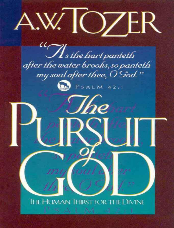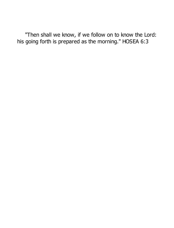"Then shall we know, if we follow on to know the Lord: his going forth is prepared as the morning." HOSEA 6:3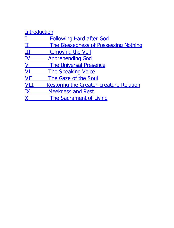# Introduction

<u>I Following Hard after God</u><br>
<u>II The Blessedness of Posse</u><br>
<u>II Removing the Veil</u> II The Blessedness of Possessing Nothing III Removing the Veil IV Apprehending God V The Universal Presence VI The Speaking Voice VII The Gaze of the Soul VIII Restoring the Creator-creature Relation IX Meekness and Rest X The Sacrament of Living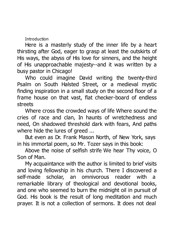Introduction

Here is a masterly study of the inner life by a heart thirsting after God, eager to grasp at least the outskirts of His ways, the abyss of His love for sinners, and the height of His unapproachable majesty--and it was written by a busy pastor in Chicago!

Who could imagine David writing the twenty-third Psalm on South Halsted Street, or a medieval mystic finding inspiration in a small study on the second floor of a frame house on that vast, flat checker-board of endless streets

Where cross the crowded ways of life Where sound the cries of race and clan, In haunts of wretchedness and need, On shadowed threshold dark with fears, And paths where hide the lures of greed ...

But even as Dr. Frank Mason North, of New York, says in his immortal poem, so Mr. Tozer says in this book:

Above the noise of selfish strife We hear Thy voice, O Son of Man.

My acquaintance with the author is limited to brief visits and loving fellowship in his church. There I discovered a self-made scholar, an omnivorous reader with a remarkable library of theological and devotional books, and one who seemed to burn the midnight oil in pursuit of God. His book is the result of long meditation and much prayer. It is not a collection of sermons. It does not deal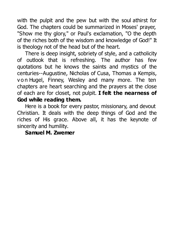with the pulpit and the pew but with the soul athirst for God. The chapters could be summarized in Moses' prayer, "Show me thy glory," or Paul's exclamation, "O the depth of the riches both of the wisdom and knowledge of God!" It is theology not of the head but of the heart.

There is deep insight, sobriety of style, and a catholicity of outlook that is refreshing. The author has few quotations but he knows the saints and mystics of the centuries--Augustine, Nicholas of Cusa, Thomas a Kempis, von Hugel, Finney, Wesley and many more. The ten chapters are heart searching and the prayers at the close of each are for closet, not pulpit. **I felt the nearness of God while reading them.**

Here is a book for every pastor, missionary, and devout Christian. It deals with the deep things of God and the riches of His grace. Above all, it has the keynote of sincerity and humility.

### **Samuel M. Zwemer**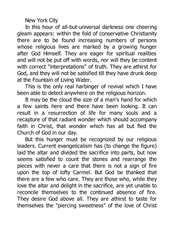New York City

In this hour of all-but-universal darkness one cheering gleam appears: within the fold of conservative Christianity there are to be found increasing numbers of persons whose religious lives are marked by a growing hunger after God Himself. They are eager for spiritual realities and will not be put off with words, nor will they be content with correct "interpretations" of truth. They are athirst for God, and they will not be satisfied till they have drunk deep at the Fountain of Living Water.

This is the only real harbinger of revival which I have been able to detect anywhere on the religious horizon.

It may be the cloud the size of a man's hand for which a few saints here and there have been looking. It can result in a resurrection of life for many souls and a recapture of that radiant wonder which should accompany faith in Christ, that wonder which has all but fled the Church of God in our day.

But this hunger must be recognized by our religious leaders. Current evangelicalism has (to change the figure) laid the altar and divided the sacrifice into parts, but now seems satisfied to count the stones and rearrange the pieces with never a care that there is not a sign of fire upon the top of lofty Carmel. But God be thanked that there are a few who care. They are those who, while they love the altar and delight in the sacrifice, are yet unable to reconcile themselves to the continued absence of fire. They desire God above all. They are athirst to taste for themselves the "piercing sweetness" of the love of Christ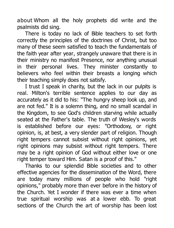about Whom all the holy prophets did write and the psalmists did sing.

There is today no lack of Bible teachers to set forth correctly the principles of the doctrines of Christ, but too many of these seem satisfied to teach the fundamentals of the faith year after year, strangely unaware that there is in their ministry no manifest Presence, nor anything unusual in their personal lives. They minister constantly to believers who feel within their breasts a longing which their teaching simply does not satisfy.

I trust I speak in charity, but the lack in our pulpits is real. Milton's terrible sentence applies to our day as accurately as it did to his: "The hungry sheep look up, and are not fed." It is a solemn thing, and no small scandal in the Kingdom, to see God's children starving while actually seated at the Father's table. The truth of Wesley's words is established before our eyes: "Orthodoxy, or right opinion, is, at best, a very slender part of religion. Though right tempers cannot subsist without right opinions, yet right opinions may subsist without right tempers. There may be a right opinion of God without either love or one right temper toward Him. Satan is a proof of this."

Thanks to our splendid Bible societies and to other effective agencies for the dissemination of the Word, there are today many millions of people who hold "right opinions," probably more than ever before in the history of the Church. Yet I wonder if there was ever a time when true spiritual worship was at a lower ebb. To great sections of the Church the art of worship has been lost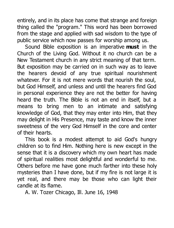entirely, and in its place has come that strange and foreign thing called the "program." This word has been borrowed from the stage and applied with sad wisdom to the type of public service which now passes for worship among us.

Sound Bible exposition is an imperative **must** in the Church of the Living God. Without it no church can be a New Testament church in any strict meaning of that term. But exposition may be carried on in such way as to leave the hearers devoid of any true spiritual nourishment whatever. For it is not mere words that nourish the soul, but God Himself, and unless and until the hearers find God in personal experience they are not the better for having heard the truth. The Bible is not an end in itself, but a means to bring men to an intimate and satisfying knowledge of God, that they may enter into Him, that they may delight in His Presence, may taste and know the inner sweetness of the very God Himself in the core and center of their hearts.

This book is a modest attempt to aid God's hungry children so to find Him. Nothing here is new except in the sense that it is a discovery which my own heart has made of spiritual realities most delightful and wonderful to me. Others before me have gone much farther into these holy mysteries than I have done, but if my fire is not large it is yet real, and there may be those who can light their candle at its flame.

A. W. Tozer Chicago, Ill. June 16, 1948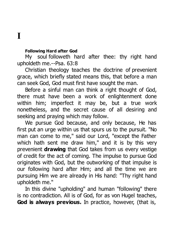### **I**

#### **Following Hard after God**

My soul followeth hard after thee: thy right hand upholdeth me.--Psa. 63:8

Christian theology teaches the doctrine of prevenient grace, which briefly stated means this, that before a man can seek God, God must first have sought the man.

Before a sinful man can think a right thought of God. there must have been a work of enlightenment done within him; imperfect it may be, but a true work nonetheless, and the secret cause of all desiring and seeking and praying which may follow.

We pursue God because, and only because, He has first put an urge within us that spurs us to the pursuit. "No man can come to me," said our Lord, "except the Father which hath sent me draw him," and it is by this very prevenient **drawing** that God takes from us every vestige of credit for the act of coming. The impulse to pursue God originates with God, but the outworking of that impulse is our following hard after Him; and all the time we are pursuing Him we are already in His hand: "Thy right hand upholdeth me."

In this divine "upholding" and human "following" there is no contradiction. All is of God, for as von Hugel teaches, **God is always previous.** In practice, however, (that is,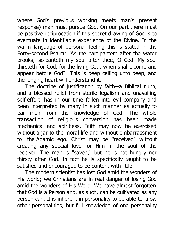where God's previous working meets man's present response) man must pursue God. On our part there must be positive reciprocation if this secret drawing of God is to eventuate in identifiable experience of the Divine. In the warm language of personal feeling this is stated in the Forty-second Psalm: "As the hart panteth after the water brooks, so panteth my soul after thee, O God. My soul thirsteth for God, for the living God: when shall I come and appear before God?" This is deep calling unto deep, and the longing heart will understand it.

The doctrine of justification by faith--a Biblical truth, and a blessed relief from sterile legalism and unavailing self-effort--has in our time fallen into evil company and been interpreted by many in such manner as actually to bar men from the knowledge of God. The whole transaction of religious conversion has been made mechanical and spiritless. Faith may now be exercised without a jar to the moral life and without embarrassment to the Adamic ego. Christ may be "received" without creating any special love for Him in the soul of the receiver. The man is "saved," but he is not hungry nor thirsty after God. In fact he is specifically taught to be satisfied and encouraged to be content with little.

The modern scientist has lost God amid the wonders of His world; we Christians are in real danger of losing God amid the wonders of His Word. We have almost forgotten that God is a Person and, as such, can be cultivated as any person can. It is inherent in personality to be able to know other personalities, but full knowledge of one personality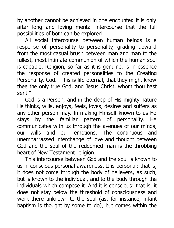by another cannot be achieved in one encounter. It is only after long and loving mental intercourse that the full possibilities of both can be explored.

All social intercourse between human beings is a response of personality to personality, grading upward from the most casual brush between man and man to the fullest, most intimate communion of which the human soul is capable. Religion, so far as it is genuine, is in essence the response of created personalities to the Creating Personality, God. "This is life eternal, that they might know thee the only true God, and Jesus Christ, whom thou hast sent."

God is a Person, and in the deep of His mighty nature He thinks, wills, enjoys, feels, loves, desires and suffers as any other person may. In making Himself known to us He stays by the familiar pattern of personality. He communicates with us through the avenues of our minds, our wills and our emotions. The continuous and unembarrassed interchange of love and thought between God and the soul of the redeemed man is the throbbing heart of New Testament religion.

This intercourse between God and the soul is known to us in conscious personal awareness. It is personal: that is, it does not come through the body of believers, as such, but is known to the individual, and to the body through the individuals which compose it. And it is conscious: that is, it does not stay below the threshold of consciousness and work there unknown to the soul (as, for instance, infant baptism is thought by some to do), but comes within the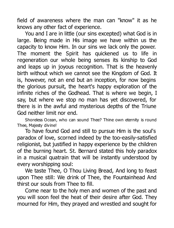field of awareness where the man can "know" it as he knows any other fact of experience.

You and I are in little (our sins excepted) what God is in large. Being made in His image we have within us the capacity to know Him. In our sins we lack only the power. The moment the Spirit has quickened us to life in regeneration our whole being senses its kinship to God and leaps up in joyous recognition. That is the heavenly birth without which we cannot see the Kingdom of God. It is, however, not an end but an inception, for now begins the glorious pursuit, the heart's happy exploration of the infinite riches of the Godhead. That is where we begin, I say, but where we stop no man has yet discovered, for there is in the awful and mysterious depths of the Triune God neither limit nor end.

Shoreless Ocean, who can sound Thee? Thine own eternity is round Thee, Majesty divine!

To have found God and still to pursue Him is the soul's paradox of love, scorned indeed by the too-easily-satisfied religionist, but justified in happy experience by the children of the burning heart. St. Bernard stated this holy paradox in a musical quatrain that will be instantly understood by every worshipping soul:

We taste Thee, O Thou Living Bread, And long to feast upon Thee still: We drink of Thee, the Fountainhead And thirst our souls from Thee to fill.

Come near to the holy men and women of the past and you will soon feel the heat of their desire after God. They mourned for Him, they prayed and wrestled and sought for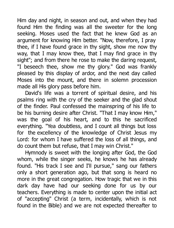Him day and night, in season and out, and when they had found Him the finding was all the sweeter for the long seeking. Moses used the fact that he knew God as an argument for knowing Him better. "Now, therefore, I pray thee, if I have found grace in thy sight, show me now thy way, that I may know thee, that I may find grace in thy sight"; and from there he rose to make the daring request. "I beseech thee, show me thy glory." God was frankly pleased by this display of ardor, and the next day called Moses into the mount, and there in solemn procession made all His glory pass before him.

David's life was a torrent of spiritual desire, and his psalms ring with the cry of the seeker and the glad shout of the finder. Paul confessed the mainspring of his life to be his burning desire after Christ. "That I may know Him," was the goal of his heart, and to this he sacrificed everything. "Yea doubtless, and I count all things but loss for the excellency of the knowledge of Christ Jesus my Lord: for whom I have suffered the loss of all things, and do count them but refuse, that I may win Christ."

Hymnody is sweet with the longing after God, the God whom, while the singer seeks, he knows he has already found. "His track I see and I'll pursue," sang our fathers only a short generation ago, but that song is heard no more in the great congregation. How tragic that we in this dark day have had our seeking done for us by our teachers. Everything is made to center upon the initial act of "accepting" Christ (a term, incidentally, which is not found in the Bible) and we are not expected thereafter to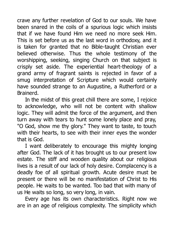crave any further revelation of God to our souls. We have been snared in the coils of a spurious logic which insists that if we have found Him we need no more seek Him. This is set before us as the last word in orthodoxy, and it is taken for granted that no Bible-taught Christian ever believed otherwise. Thus the whole testimony of the worshipping, seeking, singing Church on that subject is crisply set aside. The experiential heart-theology of a grand army of fragrant saints is rejected in favor of a smug interpretation of Scripture which would certainly have sounded strange to an Augustine, a Rutherford or a Brainerd.

In the midst of this great chill there are some, I rejoice to acknowledge, who will not be content with shallow logic. They will admit the force of the argument, and then turn away with tears to hunt some lonely place and pray, "O God, show me thy glory." They want to taste, to touch with their hearts, to see with their inner eyes the wonder that is God.

I want deliberately to encourage this mighty longing after God. The lack of it has brought us to our present low estate. The stiff and wooden quality about our religious lives is a result of our lack of holy desire. Complacency is a deadly foe of all spiritual growth. Acute desire must be present or there will be no manifestation of Christ to His people. He waits to be wanted. Too bad that with many of us He waits so long, so very long, in vain.

Every age has its own characteristics. Right now we are in an age of religious complexity. The simplicity which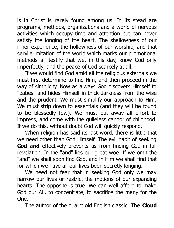is in Christ is rarely found among us. In its stead are programs, methods, organizations and a world of nervous activities which occupy time and attention but can never satisfy the longing of the heart. The shallowness of our inner experience, the hollowness of our worship, and that servile imitation of the world which marks our promotional methods all testify that we, in this day, know God only imperfectly, and the peace of God scarcely at all.

If we would find God amid all the religious externals we must first determine to find Him, and then proceed in the way of simplicity. Now as always God discovers Himself to "babes" and hides Himself in thick darkness from the wise and the prudent. We must simplify our approach to Him. We must strip down to essentials (and they will be found to be blessedly few). We must put away all effort to impress, and come with the guileless candor of childhood. If we do this, without doubt God will quickly respond.

When religion has said its last word, there is little that we need other than God Himself. The evil habit of seeking **God-and** effectively prevents us from finding God in full revelation. In the "and" lies our great woe. If we omit the "and" we shall soon find God, and in Him we shall find that for which we have all our lives been secretly longing.

We need not fear that in seeking God only we may narrow our lives or restrict the motions of our expanding hearts. The opposite is true. We can well afford to make God our All, to concentrate, to sacrifice the many for the One.

The author of the quaint old English classic, **The Cloud**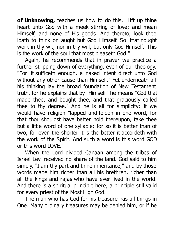**of Unknowing,** teaches us how to do this. "Lift up thine heart unto God with a meek stirring of love; and mean Himself, and none of His goods. And thereto, look thee loath to think on aught but God Himself. So that nought work in thy wit, nor in thy will, but only God Himself. This is the work of the soul that most pleaseth God."

Again, he recommends that in prayer we practice a further stripping down of everything, even of our theology. "For it sufficeth enough, a naked intent direct unto God without any other cause than Himself." Yet underneath all his thinking lay the broad foundation of New Testament truth, for he explains that by "Himself" he means "God that made thee, and bought thee, and that graciously called thee to thy degree." And he is all for simplicity: If we would have religion "lapped and folden in one word, for that thou shouldst have better hold thereupon, take thee but a little word of one syllable: for so it is better than of two, for even the shorter it is the better it accordeth with the work of the Spirit. And such a word is this word GOD or this word LOVE."

When the Lord divided Canaan among the tribes of Israel Levi received no share of the land. God said to him simply, "I am thy part and thine inheritance," and by those words made him richer than all his brethren, richer than all the kings and rajas who have ever lived in the world. And there is a spiritual principle here, a principle still valid for every priest of the Most High God.

The man who has God for his treasure has all things in One. Many ordinary treasures may be denied him, or if he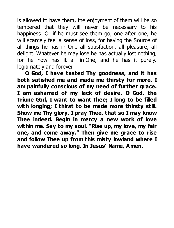is allowed to have them, the enjoyment of them will be so tempered that they will never be necessary to his happiness. Or if he must see them go, one after one, he will scarcely feel a sense of loss, for having the Source of all things he has in One all satisfaction, all pleasure, all delight. Whatever he may lose he has actually lost nothing, for he now has it all in One, and he has it purely, legitimately and forever.

**O God, I have tasted Thy goodness, and it has both satisfied me and made me thirsty for more. I am painfully conscious of my need of further grace. I am ashamed of my lack of desire. O God, the Triune God, I want to want Thee; I long to be filled with longing; I thirst to be made more thirsty still. Show me Thy glory, I pray Thee, that so I may know Thee indeed. Begin in mercy a new work of love within me. Say to my soul, "Rise up, my love, my fair one, and come away." Then give me grace to rise and follow Thee up from this misty lowland where I have wandered so long. In Jesus' Name, Amen.**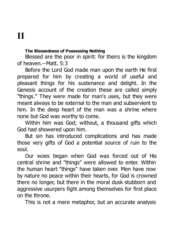## **II**

### **The Blessedness of Possessing Nothing**

Blessed are the poor in spirit: for theirs is the kingdom of heaven.--Matt. 5:3

Before the Lord God made man upon the earth He first prepared for him by creating a world of useful and pleasant things for his sustenance and delight. In the Genesis account of the creation these are called simply "things." They were made for man's uses, but they were meant always to be external to the man and subservient to him. In the deep heart of the man was a shrine where none but God was worthy to come.

Within him was God; without, a thousand gifts which God had showered upon him.

But sin has introduced complications and has made those very gifts of God a potential source of ruin to the soul.

Our woes began when God was forced out of His central shrine and "things" were allowed to enter. Within the human heart "things" have taken over. Men have now by nature no peace within their hearts, for God is crowned there no longer, but there in the moral dusk stubborn and aggressive usurpers fight among themselves for first place on the throne.

This is not a mere metaphor, but an accurate analysis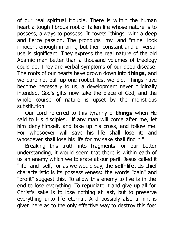of our real spiritual trouble. There is within the human heart a tough fibrous root of fallen life whose nature is to possess, always to possess. It covets "things" with a deep and fierce passion. The pronouns "my" and "mine" look innocent enough in print, but their constant and universal use is significant. They express the real nature of the old Adamic man better than a thousand volumes of theology could do. They are verbal symptoms of our deep disease. The roots of our hearts have grown down into **things,** and we dare not pull up one rootlet lest we die. Things have become necessary to us, a development never originally intended. God's gifts now take the place of God, and the whole course of nature is upset by the monstrous substitution.

Our Lord referred to this tyranny of **things** when He said to His disciples, "If any man will come after me, let him deny himself, and take up his cross, and follow me. For whosoever will save his life shall lose it: and whosoever shall lose his life for my sake shall find it."

Breaking this truth into fragments for our better understanding, it would seem that there is within each of us an enemy which we tolerate at our peril. Jesus called it "life" and "self," or as we would say, the **self-life.** Its chief characteristic is its possessiveness: the words "gain" and "profit" suggest this. To allow this enemy to live is in the end to lose everything. To repudiate it and give up all for Christ's sake is to lose nothing at last, but to preserve everything unto life eternal. And possibly also a hint is given here as to the only effective way to destroy this foe: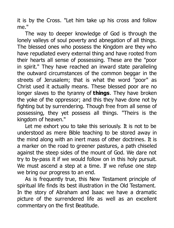it is by the Cross. "Let him take up his cross and follow me."

The way to deeper knowledge of God is through the lonely valleys of soul poverty and abnegation of all things. The blessed ones who possess the Kingdom are they who have repudiated every external thing and have rooted from their hearts all sense of possessing. These are the "poor in spirit." They have reached an inward state paralleling the outward circumstances of the common beggar in the streets of Jerusalem; that is what the word "poor" as Christ used it actually means. These blessed poor are no longer slaves to the tyranny of **things**. They have broken the yoke of the oppressor; and this they have done not by fighting but by surrendering. Though free from all sense of possessing, they yet possess all things. "Theirs is the kingdom of heaven."

Let me exhort you to take this seriously. It is not to be understood as mere Bible teaching to be stored away in the mind along with an inert mass of other doctrines. It is a marker on the road to greener pastures, a path chiseled against the steep sides of the mount of God. We dare not try to by-pass it if we would follow on in this holy pursuit. We must ascend a step at a time. If we refuse one step we bring our progress to an end.

As is frequently true, this New Testament principle of spiritual life finds its best illustration in the Old Testament. In the story of Abraham and Isaac we have a dramatic picture of the surrendered life as well as an excellent commentary on the first Beatitude.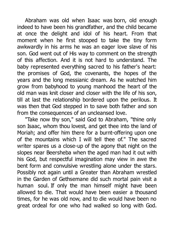Abraham was old when Isaac was born, old enough indeed to have been his grandfather, and the child became at once the delight and idol of his heart. From that moment when he first stooped to take the tiny form awkwardly in his arms he was an eager love slave of his son. God went out of His way to comment on the strength of this affection. And it is not hard to understand. The baby represented everything sacred to his father's heart: the promises of God, the covenants, the hopes of the years and the long messianic dream. As he watched him grow from babyhood to young manhood the heart of the old man was knit closer and closer with the life of his son, till at last the relationship bordered upon the perilous. It was then that God stepped in to save both father and son from the consequences of an uncleansed love.

"Take now thy son," said God to Abraham, "thine only son Isaac, whom thou lovest, and get thee into the land of Moriah; and offer him there for a burnt-offering upon one of the mountains which I will tell thee of." The sacred writer spares us a close-up of the agony that night on the slopes near Beersheba when the aged man had it out with his God, but respectful imagination may view in awe the bent form and convulsive wrestling alone under the stars. Possibly not again until a Greater than Abraham wrestled in the Garden of Gethsemane did such mortal pain visit a human soul. If only the man himself might have been allowed to die. That would have been easier a thousand times, for he was old now, and to die would have been no great ordeal for one who had walked so long with God.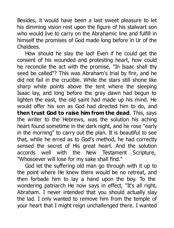Besides, it would have been a last sweet pleasure to let his dimming vision rest upon the figure of his stalwart son who would live to carry on the Abrahamic line and fulfill in himself the promises of God made long before in Ur of the Chaldees.

How should he slay the lad! Even if he could get the consent of his wounded and protesting heart, how could he reconcile the act with the promise, "In Isaac shall thy seed be called"? This was Abraham's trial by fire, and he did not fail in the crucible. While the stars still shone like sharp white points above the tent where the sleeping Isaac lay, and long before the gray dawn had begun to lighten the east, the old saint had made up his mind. He would offer his son as God had directed him to do, and **then trust God to raise him from the dead**. This, says the writer to the Hebrews, was the solution his aching heart found sometime in the dark night, and he rose "early in the morning" to carry out the plan. It is beautiful to see that, while he erred as to God's method, he had correctly sensed the secret of His great heart. And the solution accords well with the New Testament Scripture, "Whosoever will lose for my sake shall find."

God let the suffering old man go through with it up to the point where He knew there would be no retreat, and then forbade him to lay a hand upon the boy. To the wondering patriarch He now says in effect, "It's all right, Abraham. I never intended that you should actually slay the lad. I only wanted to remove him from the temple of your heart that I might reign unchallenged there. I wanted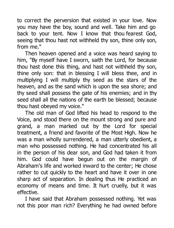to correct the perversion that existed in your love. Now you may have the boy, sound and well. Take him and go back to your tent. Now I know that thou fearest God, seeing that thou hast not withheld thy son, thine only son, from me."

Then heaven opened and a voice was heard saying to him, "By myself have I sworn, saith the Lord, for because thou hast done this thing, and hast not withheld thy son, thine only son: that in blessing I will bless thee, and in multiplying I will multiply thy seed as the stars of the heaven, and as the sand which is upon the sea shore; and thy seed shall possess the gate of his enemies; and in thy seed shall all the nations of the earth be blessed; because thou hast obeyed my voice."

The old man of God lifted his head to respond to the Voice, and stood there on the mount strong and pure and grand, a man marked out by the Lord for special treatment, a friend and favorite of the Most High. Now he was a man wholly surrendered, a man utterly obedient, a man who possessed nothing. He had concentrated his all in the person of his dear son, and God had taken it from him. God could have begun out on the margin of Abraham's life and worked inward to the center; He chose rather to cut quickly to the heart and have it over in one sharp act of separation. In dealing thus He practiced an economy of means and time. It hurt cruelly, but it was effective.

I have said that Abraham possessed nothing. Yet was not this poor man rich? Everything he had owned before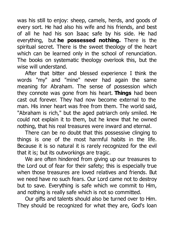was his still to enjoy: sheep, camels, herds, and goods of every sort. He had also his wife and his friends, and best of all he had his son Isaac safe by his side. He had everything, but **he possessed nothing.** There is the spiritual secret. There is the sweet theology of the heart which can be learned only in the school of renunciation. The books on systematic theology overlook this, but the wise will understand.

After that bitter and blessed experience I think the words "my" and "mine" never had again the same meaning for Abraham. The sense of possession which they connote was gone from his heart. **Things** had been cast out forever. They had now become external to the man. His inner heart was free from them. The world said, "Abraham is rich," but the aged patriarch only smiled. He could not explain it to them, but he knew that he owned nothing, that his real treasures were inward and eternal.

There can be no doubt that this possessive clinging to things is one of the most harmful habits in the life. Because it is so natural it is rarely recognized for the evil that it is; but its outworkings are tragic.

We are often hindered from giving up our treasures to the Lord out of fear for their safety; this is especially true when those treasures are loved relatives and friends. But we need have no such fears. Our Lord came not to destroy but to save. Everything is safe which we commit to Him, and nothing is really safe which is not so committed.

Our gifts and talents should also be turned over to Him. They should be recognized for what they are, God's loan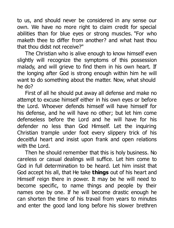to us, and should never be considered in any sense our own. We have no more right to claim credit for special abilities than for blue eyes or strong muscles. "For who maketh thee to differ from another? and what hast thou that thou didst not receive?"

The Christian who is alive enough to know himself even slightly will recognize the symptoms of this possession malady, and will grieve to find them in his own heart. If the longing after God is strong enough within him he will want to do something about the matter. Now, what should he do?

First of all he should put away all defense and make no attempt to excuse himself either in his own eyes or before the Lord. Whoever defends himself will have himself for his defense, and he will have no other; but let him come defenseless before the Lord and he will have for his defender no less than God Himself. Let the inquiring Christian trample under foot every slippery trick of his deceitful heart and insist upon frank and open relations with the Lord.

Then he should remember that this is holy business. No careless or casual dealings will suffice. Let him come to God in full determination to be heard. Let him insist that God accept his all, that He take **things** out of his heart and Himself reign there in power. It may be he will need to become specific, to name things and people by their names one by one. If he will become drastic enough he can shorten the time of his travail from years to minutes and enter the good land long before his slower brethren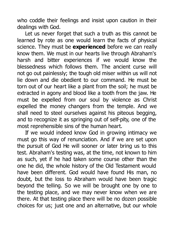who coddle their feelings and insist upon caution in their dealings with God.

Let us never forget that such a truth as this cannot be learned by rote as one would learn the facts of physical science. They must be **experienced** before we can really know them. We must in our hearts live through Abraham's harsh and bitter experiences if we would know the blessedness which follows them. The ancient curse will not go out painlessly; the tough old miser within us will not lie down and die obedient to our command. He must be torn out of our heart like a plant from the soil; he must be extracted in agony and blood like a tooth from the jaw. He must be expelled from our soul by violence as Christ expelled the money changers from the temple. And we shall need to steel ourselves against his piteous begging, and to recognize it as springing out of self-pity, one of the most reprehensible sins of the human heart.

If we would indeed know God in growing intimacy we must go this way of renunciation. And if we are set upon the pursuit of God He will sooner or later bring us to this test. Abraham's testing was, at the time, not known to him as such, yet if he had taken some course other than the one he did, the whole history of the Old Testament would have been different. God would have found His man, no doubt, but the loss to Abraham would have been tragic beyond the telling. So we will be brought one by one to the testing place, and we may never know when we are there. At that testing place there will be no dozen possible choices for us; just one and an alternative, but our whole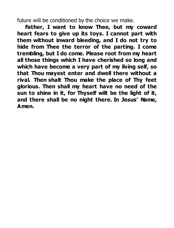future will be conditioned by the choice we make.

**Father, I want to know Thee, but my coward heart fears to give up its toys. I cannot part with them without inward bleeding, and I do not try to hide from Thee the terror of the parting. I come trembling, but I do come. Please root from my heart all those things which I have cherished so long and which have become a very part of my living self, so that Thou mayest enter and dwell there without a rival. Then shalt Thou make the place of Thy feet glorious. Then shall my heart have no need of the sun to shine in it, for Thyself wilt be the light of it, and there shall be no night there. In Jesus' Name, Amen.**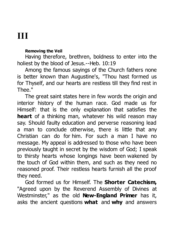### **III**

#### **Removing the Veil**

Having therefore, brethren, boldness to enter into the holiest by the blood of Jesus.--Heb. 10:19

Among the famous sayings of the Church fathers none is better known than Augustine's, "Thou hast formed us for Thyself, and our hearts are restless till they find rest in Thee."

The great saint states here in few words the origin and interior history of the human race. God made us for Himself: that is the only explanation that satisfies the **heart** of a thinking man, whatever his wild reason may say. Should faulty education and perverse reasoning lead a man to conclude otherwise, there is little that any Christian can do for him. For such a man I have no message. My appeal is addressed to those who have been previously taught in secret by the wisdom of God; I speak to thirsty hearts whose longings have been wakened by the touch of God within them, and such as they need no reasoned proof. Their restless hearts furnish all the proof they need.

God formed us for Himself. The **Shorter Catechism,** "Agreed upon by the Reverend Assembly of Divines at Westminster," as the old **New-England Primer** has it, asks the ancient questions **what** and **why** and answers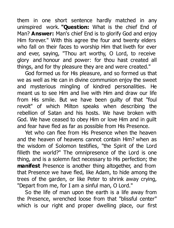them in one short sentence hardly matched in any uninspired work. **"Question:** What is the chief End of Man? **Answer:** Man's chief End is to glorify God and enjoy Him forever." With this agree the four and twenty elders who fall on their faces to worship Him that liveth for ever and ever, saying, "Thou art worthy, O Lord, to receive glory and honour and power: for thou hast created all things, and for thy pleasure they are and were created."

God formed us for His pleasure, and so formed us that we as well as He can in divine communion enjoy the sweet and mysterious mingling of kindred personalities. He meant us to see Him and live with Him and draw our life from His smile. But we have been guilty of that "foul revolt" of which Milton speaks when describing the rebellion of Satan and his hosts. We have broken with God. We have ceased to obey Him or love Him and in guilt and fear have fled as far as possible from His Presence.

Yet who can flee from His Presence when the heaven and the heaven of heavens cannot contain Him? when as the wisdom of Solomon testifies, "the Spirit of the Lord filleth the world?" The omnipresence of the Lord is one thing, and is a solemn fact necessary to His perfection; the **manifest** Presence is another thing altogether, and from that Presence we have fled, like Adam, to hide among the trees of the garden, or like Peter to shrink away crying, "Depart from me, for I am a sinful man, O Lord."

So the life of man upon the earth is a life away from the Presence, wrenched loose from that "blissful center" which is our right and proper dwelling place, our first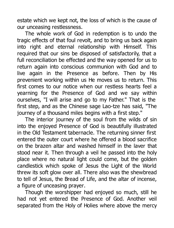estate which we kept not, the loss of which is the cause of our unceasing restlessness.

The whole work of God in redemption is to undo the tragic effects of that foul revolt, and to bring us back again into right and eternal relationship with Himself. This required that our sins be disposed of satisfactorily, that a full reconciliation be effected and the way opened for us to return again into conscious communion with God and to live again in the Presence as before. Then by His prevenient working within us He moves us to return. This first comes to our notice when our restless hearts feel a yearning for the Presence of God and we say within ourselves, "I will arise and go to my Father." That is the first step, and as the Chinese sage Lao-tze has said, "The journey of a thousand miles begins with a first step."

The interior journey of the soul from the wilds of sin into the enjoyed Presence of God is beautifully illustrated in the Old Testament tabernacle. The returning sinner first entered the outer court where he offered a blood sacrifice on the brazen altar and washed himself in the laver that stood near it. Then through a veil he passed into the holy place where no natural light could come, but the golden candlestick which spoke of Jesus the Light of the World threw its soft glow over all. There also was the shewbread to tell of Jesus, the Bread of Life, and the altar of incense, a figure of unceasing prayer.

Though the worshipper had enjoyed so much, still he had not yet entered the Presence of God. Another veil separated from the Holy of Holies where above the mercy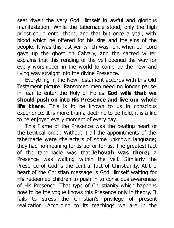seat dwelt the very God Himself in awful and glorious manifestation. While the tabernacle stood, only the high priest could enter there, and that but once a year, with blood which he offered for his sins and the sins of the people. It was this last veil which was rent when our Lord gave up the ghost on Calvary, and the sacred writer explains that this rending of the veil opened the way for every worshipper in the world to come by the new and living way straight into the divine Presence.

Everything in the New Testament accords with this Old Testament picture. Ransomed men need no longer pause in fear to enter the Holy of Holies. **God wills that we should push on into His Presence and live our whole life there.** This is to be known to us in conscious experience. It is more than a doctrine to be held, it is a life to be enjoyed every moment of every day.

This Flame of the Presence was the beating heart of the Levitical order. Without it all the appointments of the tabernacle were characters of some unknown language; they had no meaning for Israel or for us. The greatest fact of the tabernacle was that **Jehovah was there;** a Presence was waiting within the veil. Similarly the Presence of God is the central fact of Christianity. At the heart of the Christian message is God Himself waiting for His redeemed children to push in to conscious awareness of His Presence. That type of Christianity which happens now to be the vogue knows this Presence only in theory. It fails to stress the Christian's privilege of present realization. According to its teachings we are in the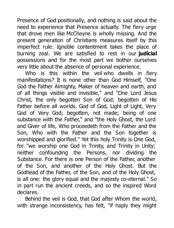Presence of God positionally, and nothing is said about the need to experience that Presence actually. The fiery urge that drove men like McCheyne is wholly missing. And the present generation of Christians measures itself by this imperfect rule. Ignoble contentment takes the place of burning zeal. We are satisfied to rest in our **judicial** possessions and for the most part we bother ourselves very little about the absence of personal experience.

Who is this within the veil who dwells in fiery manifestations? It is none other than God Himself, "One God the Father Almighty, Maker of heaven and earth, and of all things visible and invisible," and "One Lord Jesus Christ, the only begotten Son of God; begotten of His Father before all worlds, God of God, Light of Light, Very God of Very God; begotten, not made; being of one substance with the Father," and "the Holy Ghost, the Lord and Giver of life, Who proceedeth from the Father and the Son, Who with the Father and the Son together is worshipped and glorified." Yet this holy Trinity is One God, for "we worship one God in Trinity, and Trinity in Unity; neither confounding the Persons, nor dividing the Substance. For there is one Person of the Father, another of the Son, and another of the Holy Ghost. But the Godhead of the Father, of the Son, and of the Holy Ghost, is all one: the glory equal and the majesty co-eternal." So in part run the ancient creeds, and so the inspired Word declares.

Behind the veil is God, that God after Whom the world, with strange inconsistency, has felt. "if haply they might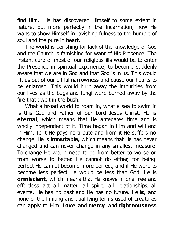find Him." He has discovered Himself to some extent in nature, but more perfectly in the Incarnation; now He waits to show Himself in ravishing fulness to the humble of soul and the pure in heart.

The world is perishing for lack of the knowledge of God and the Church is famishing for want of His Presence. The instant cure of most of our religious ills would be to enter the Presence in spiritual experience, to become suddenly aware that we are in God and that God is in us. This would lift us out of our pitiful narrowness and cause our hearts to be enlarged. This would burn away the impurities from our lives as the bugs and fungi were burned away by the fire that dwelt in the bush.

What a broad world to roam in, what a sea to swim in is this God and Father of our Lord Jesus Christ. He is **eternal**, which means that He antedates time and is wholly independent of it. Time began in Him and will end in Him. To it He pays no tribute and from it He suffers no change. He is **immutable,** which means that He has never changed and can never change in any smallest measure. To change He would need to go from better to worse or from worse to better. He cannot do either, for being perfect He cannot become more perfect, and if He were to become less perfect He would be less than God. He is **omniscient**, which means that He knows in one free and effortless act all matter, all spirit, all relationships, all events. He has no past and He has no future. He **is**, and none of the limiting and qualifying terms used of creatures can apply to Him. **Love** and **mercy** and **righteousness**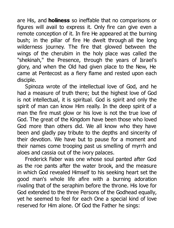are His, and **holiness** so ineffable that no comparisons or figures will avail to express it. Only fire can give even a remote conception of it. In fire He appeared at the burning bush; in the pillar of fire He dwelt through all the long wilderness journey. The fire that glowed between the wings of the cherubim in the holy place was called the "shekinah," the Presence, through the years of Israel's glory, and when the Old had given place to the New, He came at Pentecost as a fiery flame and rested upon each disciple.

Spinoza wrote of the intellectual love of God, and he had a measure of truth there; but the highest love of God is not intellectual, it is spiritual. God is spirit and only the spirit of man can know Him really. In the deep spirit of a man the fire must glow or his love is not the true love of God. The great of the Kingdom have been those who loved God more than others did. We all know who they have been and gladly pay tribute to the depths and sincerity of their devotion. We have but to pause for a moment and their names come trooping past us smelling of myrrh and aloes and cassia out of the ivory palaces.

Frederick Faber was one whose soul panted after God as the roe pants after the water brook, and the measure in which God revealed Himself to his seeking heart set the good man's whole life afire with a burning adoration rivaling that of the seraphim before the throne. His love for God extended to the three Persons of the Godhead equally, yet he seemed to feel for each One a special kind of love reserved for Him alone. Of God the Father he sings: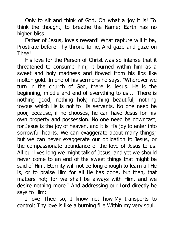Only to sit and think of God, Oh what a joy it is! To think the thought, to breathe the Name; Earth has no higher bliss.

Father of Jesus, love's reward! What rapture will it be, Prostrate before Thy throne to lie, And gaze and gaze on Thee!

His love for the Person of Christ was so intense that it threatened to consume him; it burned within him as a sweet and holy madness and flowed from his lips like molten gold. In one of his sermons he says, "Wherever we turn in the church of God, there is Jesus. He is the beginning, middle and end of everything to us.... There is nothing good, nothing holy, nothing beautiful, nothing joyous which He is not to His servants. No one need be poor, because, if he chooses, he can have Jesus for his own property and possession. No one need be downcast, for Jesus is the joy of heaven, and it is His joy to enter into sorrowful hearts. We can exaggerate about many things: but we can never exaggerate our obligation to Jesus, or the compassionate abundance of the love of Jesus to us. All our lives long we might talk of Jesus, and yet we should never come to an end of the sweet things that might be said of Him. Eternity will not be long enough to learn all He is, or to praise Him for all He has done, but then, that matters not; for we shall be always with Him, and we desire nothing more." And addressing our Lord directly he says to Him:

I love Thee so, I know not how My transports to control; Thy love is like a burning fire Within my very soul.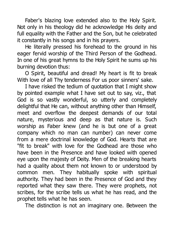Faber's blazing love extended also to the Holy Spirit. Not only in his theology did he acknowledge His deity and full equality with the Father and the Son, but he celebrated it constantly in his songs and in his prayers.

He literally pressed his forehead to the ground in his eager fervid worship of the Third Person of the Godhead. In one of his great hymns to the Holy Spirit he sums up his burning devotion thus:

O Spirit, beautiful and dread! My heart is fit to break With love of all Thy tenderness For us poor sinners' sake.

I have risked the tedium of quotation that I might show by pointed example what I have set out to say, viz., that God is so vastly wonderful, so utterly and completely delightful that He can, without anything other than Himself, meet and overflow the deepest demands of our total nature, mysterious and deep as that nature is. Such worship as Faber knew (and he is but one of a great company which no man can number) can never come from a mere doctrinal knowledge of God. Hearts that are "fit to break" with love for the Godhead are those who have been in the Presence and have looked with opened eye upon the majesty of Deity. Men of the breaking hearts had a quality about them not known to or understood by common men. They habitually spoke with spiritual authority. They had been in the Presence of God and they reported what they saw there. They were prophets, not scribes, for the scribe tells us what he has read, and the prophet tells what he has seen.

The distinction is not an imaginary one. Between the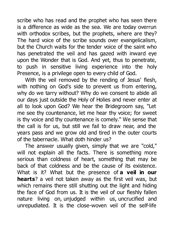scribe who has read and the prophet who has seen there is a difference as wide as the sea. We are today overrun with orthodox scribes, but the prophets, where are they? The hard voice of the scribe sounds over evangelicalism, but the Church waits for the tender voice of the saint who has penetrated the veil and has gazed with inward eye upon the Wonder that is God. And yet, thus to penetrate, to push in sensitive living experience into the holy Presence, is a privilege open to every child of God.

With the veil removed by the rending of Jesus' flesh, with nothing on God's side to prevent us from entering, why do we tarry without? Why do we consent to abide all our days just outside the Holy of Holies and never enter at all to look upon God? We hear the Bridegroom say, "Let me see thy countenance, let me hear thy voice; for sweet is thy voice and thy countenance is comely." We sense that the call is for us, but still we fail to draw near, and the years pass and we grow old and tired in the outer courts of the tabernacle. What doth hinder us?

The answer usually given, simply that we are "cold," will not explain all the facts. There is something more serious than coldness of heart, something that may be back of that coldness and be the cause of its existence. What is it? What but the presence of **a veil in our hearts**? a veil not taken away as the first veil was, but which remains there still shutting out the light and hiding the face of God from us. It is the veil of our fleshly fallen nature living on, unjudged within us, uncrucified and unrepudiated. It is the close-woven veil of the self-life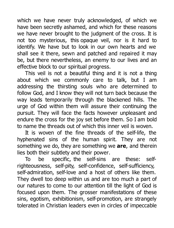which we have never truly acknowledged, of which we have been secretly ashamed, and which for these reasons we have never brought to the judgment of the cross. It is not too mysterious, this opaque veil, nor is it hard to identify. We have but to look in our own hearts and we shall see it there, sewn and patched and repaired it may be, but there nevertheless, an enemy to our lives and an effective block to our spiritual progress.

This veil is not a beautiful thing and it is not a thing about which we commonly care to talk, but I am addressing the thirsting souls who are determined to follow God, and I know they will not turn back because the way leads temporarily through the blackened hills. The urge of God within them will assure their continuing the pursuit. They will face the facts however unpleasant and endure the cross for the joy set before them. So I am bold to name the threads out of which this inner veil is woven.

It is woven of the fine threads of the self-life, the hyphenated sins of the human spirit. They are not something we do, they are something we **are**, and therein lies both their subtlety and their power.

To be specific, the self-sins are these: selfrighteousness, self-pity, self-confidence, self-sufficiency, self-admiration, self-love and a host of others like them. They dwell too deep within us and are too much a part of our natures to come to our attention till the light of God is focused upon them. The grosser manifestations of these sins, egotism, exhibitionism, self-promotion, are strangely tolerated in Christian leaders even in circles of impeccable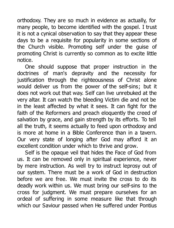orthodoxy. They are so much in evidence as actually, for many people, to become identified with the gospel. I trust it is not a cynical observation to say that they appear these days to be a requisite for popularity in some sections of the Church visible. Promoting self under the guise of promoting Christ is currently so common as to excite little notice.

One should suppose that proper instruction in the doctrines of man's depravity and the necessity for justification through the righteousness of Christ alone would deliver us from the power of the self-sins; but it does not work out that way. Self can live unrebuked at the very altar. It can watch the bleeding Victim die and not be in the least affected by what it sees. It can fight for the faith of the Reformers and preach eloquently the creed of salvation by grace, and gain strength by its efforts. To tell all the truth, it seems actually to feed upon orthodoxy and is more at home in a Bible Conference than in a tavern. Our very state of longing after God may afford it an excellent condition under which to thrive and grow.

Self is the opaque veil that hides the Face of God from us. It can be removed only in spiritual experience, never by mere instruction. As well try to instruct leprosy out of our system. There must be a work of God in destruction before we are free. We must invite the cross to do its deadly work within us. We must bring our self-sins to the cross for judgment. We must prepare ourselves for an ordeal of suffering in some measure like that through which our Saviour passed when He suffered under Pontius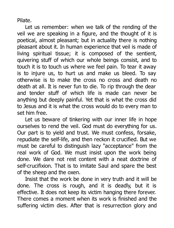Pilate.

Let us remember: when we talk of the rending of the veil we are speaking in a figure, and the thought of it is poetical, almost pleasant; but in actuality there is nothing pleasant about it. In human experience that veil is made of living spiritual tissue; it is composed of the sentient, quivering stuff of which our whole beings consist, and to touch it is to touch us where we feel pain. To tear it away is to injure us, to hurt us and make us bleed. To say otherwise is to make the cross no cross and death no death at all. It is never fun to die. To rip through the dear and tender stuff of which life is made can never be anything but deeply painful. Yet that is what the cross did to Jesus and it is what the cross would do to every man to set him free.

Let us beware of tinkering with our inner life in hope ourselves to rend the veil. God must do everything for us. Our part is to yield and trust. We must confess, forsake, repudiate the self-life, and then reckon it crucified. But we must be careful to distinguish lazy "acceptance" from the real work of God. We must insist upon the work being done. We dare not rest content with a neat doctrine of self-crucifixion. That is to imitate Saul and spare the best of the sheep and the oxen.

Insist that the work be done in very truth and it will be done. The cross is rough, and it is deadly, but it is effective. It does not keep its victim hanging there forever. There comes a moment when its work is finished and the suffering victim dies. After that is resurrection glory and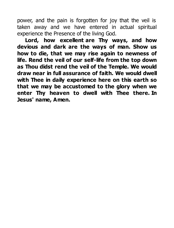power, and the pain is forgotten for joy that the veil is taken away and we have entered in actual spiritual experience the Presence of the living God.

**Lord, how excellent are Thy ways, and how devious and dark are the ways of man. Show us how to die, that we may rise again to newness of life. Rend the veil of our self-life from the top down as Thou didst rend the veil of the Temple. We would draw near in full assurance of faith. We would dwell with Thee in daily experience here on this earth so that we may be accustomed to the glory when we enter Thy heaven to dwell with Thee there. In Jesus' name, Amen.**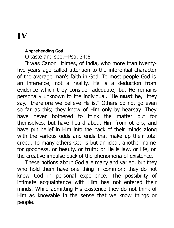# **IV**

### **Apprehending God**

O taste and see.--Psa. 34:8

It was Canon Holmes, of India, who more than twentyfive years ago called attention to the inferential character of the average man's faith in God. To most people God is an inference, not a reality. He is a deduction from evidence which they consider adequate; but He remains personally unknown to the individual. "He **must** be," they say, "therefore we believe He is." Others do not go even so far as this; they know of Him only by hearsay. They have never bothered to think the matter out for themselves, but have heard about Him from others, and have put belief in Him into the back of their minds along with the various odds and ends that make up their total creed. To many others God is but an ideal, another name for goodness, or beauty, or truth; or He is law, or life, or the creative impulse back of the phenomena of existence.

These notions about God are many and varied, but they who hold them have one thing in common: they do not know God in personal experience. The possibility of intimate acquaintance with Him has not entered their minds. While admitting His existence they do not think of Him as knowable in the sense that we know things or people.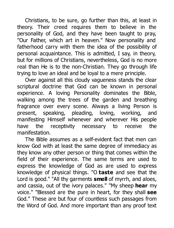Christians, to be sure, go further than this, at least in theory. Their creed requires them to believe in the personality of God, and they have been taught to pray, "Our Father, which art in heaven." Now personality and fatherhood carry with them the idea of the possibility of personal acquaintance. This is admitted, I say, in theory, but for millions of Christians, nevertheless, God is no more real than He is to the non-Christian. They go through life trying to love an ideal and be loyal to a mere principle.

Over against all this cloudy vagueness stands the clear scriptural doctrine that God can be known in personal experience. A loving Personality dominates the Bible, walking among the trees of the garden and breathing fragrance over every scene. Always a living Person is present, speaking, pleading, loving, working, and manifesting Himself whenever and wherever His people have the receptivity necessary to receive the manifestation.

The Bible assumes as a self-evident fact that men can know God with at least the same degree of immediacy as they know any other person or thing that comes within the field of their experience. The same terms are used to express the knowledge of God as are used to express knowledge of physical things. "O **taste** and see that the Lord is good." "All thy garments **smell** of myrrh, and aloes, and cassia, out of the ivory palaces." "My sheep **hear** my voice." "Blessed are the pure in heart, for they shall **see** God." These are but four of countless such passages from the Word of God. And more important than any proof text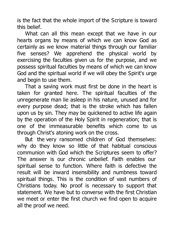is the fact that the whole import of the Scripture is toward this belief.

What can all this mean except that we have in our hearts organs by means of which we can know God as certainly as we know material things through our familiar five senses? We apprehend the physical world by exercising the faculties given us for the purpose, and we possess spiritual faculties by means of which we can know God and the spiritual world if we will obey the Spirit's urge and begin to use them.

That a saving work must first be done in the heart is taken for granted here. The spiritual faculties of the unregenerate man lie asleep in his nature, unused and for every purpose dead; that is the stroke which has fallen upon us by sin. They may be quickened to active life again by the operation of the Holy Spirit in regeneration; that is one of the immeasurable benefits which come to us through Christ's atoning work on the cross.

But the very ransomed children of God themselves: why do they know so little of that habitual conscious communion with God which the Scriptures seem to offer? The answer is our chronic unbelief. Faith enables our spiritual sense to function. Where faith is defective the result will be inward insensibility and numbness toward spiritual things. This is the condition of vast numbers of Christians today. No proof is necessary to support that statement. We have but to converse with the first Christian we meet or enter the first church we find open to acquire all the proof we need.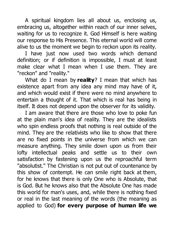A spiritual kingdom lies all about us, enclosing us, embracing us, altogether within reach of our inner selves, waiting for us to recognize it. God Himself is here waiting our response to His Presence. This eternal world will come alive to us the moment we begin to reckon upon its reality.

I have just now used two words which demand definition; or if definition is impossible, I must at least make clear what I mean when I use them. They are "reckon" and "reality."

What do I mean by **reality**? I mean that which has existence apart from any idea any mind may have of it, and which would exist if there were no mind anywhere to entertain a thought of it. That which is real has being in itself. It does not depend upon the observer for its validity.

I am aware that there are those who love to poke fun at the plain man's idea of reality. They are the idealists who spin endless proofs that nothing is real outside of the mind. They are the relativists who like to show that there are no fixed points in the universe from which we can measure anything. They smile down upon us from their lofty intellectual peaks and settle us to their own satisfaction by fastening upon us the reproachful term "absolutist." The Christian is not put out of countenance by this show of contempt. He can smile right back at them, for he knows that there is only One who is Absolute, that is God. But he knows also that the Absolute One has made this world for man's uses, and, while there is nothing fixed or real in the last meaning of the words (the meaning as applied to God) **for every purpose of human life we**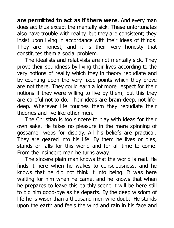**are permitted to act as if there were**. And every man does act thus except the mentally sick. These unfortunates also have trouble with reality, but they are consistent; they insist upon living in accordance with their ideas of things. They are honest, and it is their very honesty that constitutes them a social problem.

The idealists and relativists are not mentally sick. They prove their soundness by living their lives according to the very notions of reality which they in theory repudiate and by counting upon the very fixed points which they prove are not there. They could earn a lot more respect for their notions if they were willing to live by them; but this they are careful not to do. Their ideas are brain-deep, not lifedeep. Wherever life touches them they repudiate their theories and live like other men.

The Christian is too sincere to play with ideas for their own sake. He takes no pleasure in the mere spinning of gossamer webs for display. All his beliefs are practical. They are geared into his life. By them he lives or dies, stands or falls for this world and for all time to come. From the insincere man he turns away.

The sincere plain man knows that the world is real. He finds it here when he wakes to consciousness, and he knows that he did not think it into being. It was here waiting for him when he came, and he knows that when he prepares to leave this earthly scene it will be here still to bid him good-bye as he departs. By the deep wisdom of life he is wiser than a thousand men who doubt. He stands upon the earth and feels the wind and rain in his face and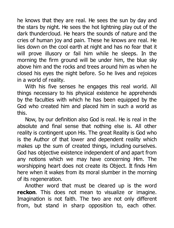he knows that they are real. He sees the sun by day and the stars by night. He sees the hot lightning play out of the dark thundercloud. He hears the sounds of nature and the cries of human joy and pain. These he knows are real. He lies down on the cool earth at night and has no fear that it will prove illusory or fail him while he sleeps. In the morning the firm ground will be under him, the blue sky above him and the rocks and trees around him as when he closed his eyes the night before. So he lives and rejoices in a world of reality.

With his five senses he engages this real world. All things necessary to his physical existence he apprehends by the faculties with which he has been equipped by the God who created him and placed him in such a world as this.

Now, by our definition also God is real. He is real in the absolute and final sense that nothing else is. All other reality is contingent upon His. The great Reality is God who is the Author of that lower and dependent reality which makes up the sum of created things, including ourselves. God has objective existence independent of and apart from any notions which we may have concerning Him. The worshipping heart does not create its Object. It finds Him here when it wakes from its moral slumber in the morning of its regeneration.

Another word that must be cleared up is the word **reckon**. This does not mean to visualize or imagine. Imagination is not faith. The two are not only different from, but stand in sharp opposition to, each other.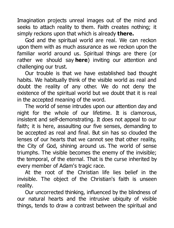Imagination projects unreal images out of the mind and seeks to attach reality to them. Faith creates nothing: it simply reckons upon that which is already **there.**

God and the spiritual world are real. We can reckon upon them with as much assurance as we reckon upon the familiar world around us. Spiritual things are there (or rather we should say **here**) inviting our attention and challenging our trust.

Our trouble is that we have established bad thought habits. We habitually think of the visible world as real and doubt the reality of any other. We do not deny the existence of the spiritual world but we doubt that it is real in the accepted meaning of the word.

The world of sense intrudes upon our attention day and night for the whole of our lifetime. It is clamorous, insistent and self-demonstrating. It does not appeal to our faith; it is here, assaulting our five senses, demanding to be accepted as real and final. But sin has so clouded the lenses of our hearts that we cannot see that other reality, the City of God, shining around us. The world of sense triumphs. The visible becomes the enemy of the invisible; the temporal, of the eternal. That is the curse inherited by every member of Adam's tragic race.

At the root of the Christian life lies belief in the invisible. The object of the Christian's faith is unseen reality.

Our uncorrected thinking, influenced by the blindness of our natural hearts and the intrusive ubiquity of visible things, tends to draw a contrast between the spiritual and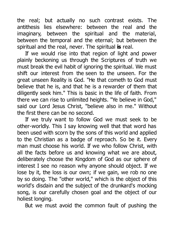the real; but actually no such contrast exists. The antithesis lies elsewhere: between the real and the imaginary, between the spiritual and the material, between the temporal and the eternal; but between the spiritual and the real, never. The spiritual **is** real.

If we would rise into that region of light and power plainly beckoning us through the Scriptures of truth we must break the evil habit of ignoring the spiritual. We must shift our interest from the seen to the unseen. For the great unseen Reality is God. "He that cometh to God must believe that he is, and that he is a rewarder of them that diligently seek him." This is basic in the life of faith. From there we can rise to unlimited heights. "Ye believe in God," said our Lord Jesus Christ, "believe also in me." Without the first there can be no second.

If we truly want to follow God we must seek to be other-worldly. This I say knowing well that that word has been used with scorn by the sons of this world and applied to the Christian as a badge of reproach. So be it. Every man must choose his world. If we who follow Christ, with all the facts before us and knowing what we are about, deliberately choose the Kingdom of God as our sphere of interest I see no reason why anyone should object. If we lose by it, the loss is our own; if we gain, we rob no one by so doing. The "other world," which is the object of this world's disdain and the subject of the drunkard's mocking song, is our carefully chosen goal and the object of our holiest longing.

But we must avoid the common fault of pushing the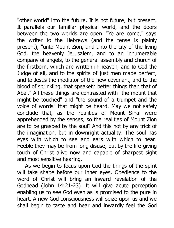"other world" into the future. It is not future, but present. It parallels our familiar physical world, and the doors between the two worlds are open. "Ye are come," says the writer to the Hebrews (and the tense is plainly present), "unto Mount Zion, and unto the city of the living God, the heavenly Jerusalem, and to an innumerable company of angels, to the general assembly and church of the firstborn, which are written in heaven, and to God the Judge of all, and to the spirits of just men made perfect, and to Jesus the mediator of the new covenant, and to the blood of sprinkling, that speaketh better things than that of Abel." All these things are contrasted with "the mount that might be touched" and "the sound of a trumpet and the voice of words" that might be heard. May we not safely conclude that, as the realities of Mount Sinai were apprehended by the senses, so the realities of Mount Zion are to be grasped by the soul? And this not by any trick of the imagination, but in downright actuality. The soul has eyes with which to see and ears with which to hear. Feeble they may be from long disuse, but by the life-giving touch of Christ alive now and capable of sharpest sight and most sensitive hearing.

As we begin to focus upon God the things of the spirit will take shape before our inner eyes. Obedience to the word of Christ will bring an inward revelation of the Godhead (John 14:21-23). It will give acute perception enabling us to see God even as is promised to the pure in heart. A new God consciousness will seize upon us and we shall begin to taste and hear and inwardly feel the God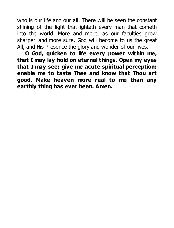who is our life and our all. There will be seen the constant shining of the light that lighteth every man that cometh into the world. More and more, as our faculties grow sharper and more sure, God will become to us the great All, and His Presence the glory and wonder of our lives.

**O God, quicken to life every power within me, that I may lay hold on eternal things. Open my eyes that I may see; give me acute spiritual perception; enable me to taste Thee and know that Thou art good. Make heaven more real to me than any earthly thing has ever been. Amen.**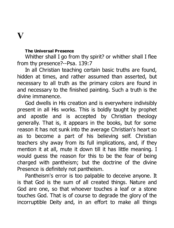### **V**

#### **The Universal Presence**

Whither shall I go from thy spirit? or whither shall I flee from thy presence?--Psa. 139:7

In all Christian teaching certain basic truths are found, hidden at times, and rather assumed than asserted, but necessary to all truth as the primary colors are found in and necessary to the finished painting. Such a truth is the divine immanence.

God dwells in His creation and is everywhere indivisibly present in all His works. This is boldly taught by prophet and apostle and is accepted by Christian theology generally. That is, it appears in the books, but for some reason it has not sunk into the average Christian's heart so as to become a part of his believing self. Christian teachers shy away from its full implications, and, if they mention it at all, mute it down till it has little meaning. I would guess the reason for this to be the fear of being charged with pantheism; but the doctrine of the divine Presence is definitely not pantheism.

Pantheism's error is too palpable to deceive anyone. It is that God is the sum of all created things. Nature and God are one, so that whoever touches a leaf or a stone touches God. That is of course to degrade the glory of the incorruptible Deity and, in an effort to make all things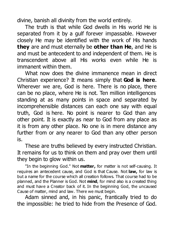divine, banish all divinity from the world entirely.

The truth is that while God dwells in His world He is separated from it by a gulf forever impassable. However closely He may be identified with the work of His hands **they** are and must eternally be **other than He**, and He is and must be antecedent to and independent of them. He is transcendent above all His works even while He is immanent within them.

What now does the divine immanence mean in direct Christian experience? It means simply that **God is here**. Wherever we are, God is here. There is no place, there can be no place, where He is not. Ten million intelligences standing at as many points in space and separated by incomprehensible distances can each one say with equal truth, God is here. No point is nearer to God than any other point. It is exactly as near to God from any place as it is from any other place. No one is in mere distance any further from or any nearer to God than any other person is.

These are truths believed by every instructed Christian. It remains for us to think on them and pray over them until they begin to glow within us.

"In the beginning God." Not **matter,** for matter is not self-causing. It requires an antecedent cause, and God is that Cause. Not **law,** for law is but a name for the course which all creation follows. That course had to be planned, and the Planner is God. Not **mind**, for mind also is a created thing and must have a Creator back of it. In the beginning God, the uncaused Cause of matter, mind and law. There we must begin.

Adam sinned and, in his panic, frantically tried to do the impossible: he tried to hide from the Presence of God.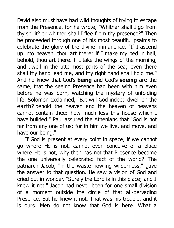David also must have had wild thoughts of trying to escape from the Presence, for he wrote, "Whither shall I go from thy spirit? or whither shall I flee from thy presence?" Then he proceeded through one of his most beautiful psalms to celebrate the glory of the divine immanence. "If I ascend up into heaven, thou art there: if I make my bed in hell, behold, thou art there. If I take the wings of the morning, and dwell in the uttermost parts of the sea; even there shall thy hand lead me, and thy right hand shall hold me." And he knew that God's **being** and God's **seeing** are the same, that the seeing Presence had been with him even before he was born, watching the mystery of unfolding life. Solomon exclaimed, "But will God indeed dwell on the earth? behold the heaven and the heaven of heavens cannot contain thee: how much less this house which I have builded." Paul assured the Athenians that "God is not far from any one of us: for in him we live, and move, and have our being."

If God is present at every point in space, if we cannot go where He is not, cannot even conceive of a place where He is not, why then has not that Presence become the one universally celebrated fact of the world? The patriarch Jacob, "in the waste howling wilderness," gave the answer to that question. He saw a vision of God and cried out in wonder, "Surely the Lord is in this place; and I knew it not." Jacob had never been for one small division of a moment outside the circle of that all-pervading Presence. But he knew it not. That was his trouble, and it is ours. Men do not know that God is here. What a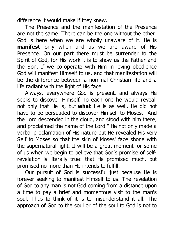difference it would make if they knew.

The Presence and the manifestation of the Presence are not the same. There can be the one without the other. God is here when we are wholly unaware of it. He is **manifest** only when and as we are aware of His Presence. On our part there must be surrender to the Spirit of God, for His work it is to show us the Father and the Son. If we co-operate with Him in loving obedience God will manifest Himself to us, and that manifestation will be the difference between a nominal Christian life and a life radiant with the light of His face.

Always, everywhere God is present, and always He seeks to discover Himself. To each one he would reveal not only that He is, but **what** He is as well. He did not have to be persuaded to discover Himself to Moses. "And the Lord descended in the cloud, and stood with him there, and proclaimed the name of the Lord." He not only made a verbal proclamation of His nature but He revealed His very Self to Moses so that the skin of Moses' face shone with the supernatural light. It will be a great moment for some of us when we begin to believe that God's promise of selfrevelation is literally true: that He promised much, but promised no more than He intends to fulfill.

Our pursuit of God is successful just because He is forever seeking to manifest Himself to us. The revelation of God to any man is not God coming from a distance upon a time to pay a brief and momentous visit to the man's soul. Thus to think of it is to misunderstand it all. The approach of God to the soul or of the soul to God is not to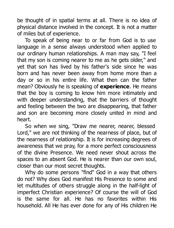be thought of in spatial terms at all. There is no idea of physical distance involved in the concept. It is not a matter of miles but of experience.

To speak of being near to or far from God is to use language in a sense always understood when applied to our ordinary human relationships. A man may say, "I feel that my son is coming nearer to me as he gets older," and yet that son has lived by his father's side since he was born and has never been away from home more than a day or so in his entire life. What then can the father mean? Obviously he is speaking of **experience**. He means that the boy is coming to know him more intimately and with deeper understanding, that the barriers of thought and feeling between the two are disappearing, that father and son are becoming more closely united in mind and heart.

So when we sing, "Draw me nearer, nearer, blessed Lord," we are not thinking of the nearness of place, but of the nearness of relationship. It is for increasing degrees of awareness that we pray, for a more perfect consciousness of the divine Presence. We need never shout across the spaces to an absent God. He is nearer than our own soul, closer than our most secret thoughts.

Why do some persons "find" God in a way that others do not? Why does God manifest His Presence to some and let multitudes of others struggle along in the half-light of imperfect Christian experience? Of course the will of God is the same for all. He has no favorites within His household. All He has ever done for any of His children He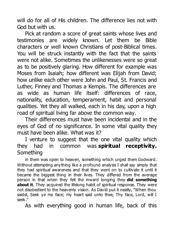will do for all of His children. The difference lies not with God but with us.

Pick at random a score of great saints whose lives and testimonies are widely known. Let them be Bible characters or well known Christians of post-Biblical times. You will be struck instantly with the fact that the saints were not alike. Sometimes the unlikenesses were so great as to be positively glaring. How different for example was Moses from Isaiah; how different was Elijah from David; how unlike each other were John and Paul, St. Francis and Luther, Finney and Thomas a Kempis. The differences are as wide as human life itself: differences of race, nationality, education, temperament, habit and personal qualities. Yet they all walked, each in his day, upon a high road of spiritual living far above the common way.

Their differences must have been incidental and in the eyes of God of no significance. In some vital quality they must have been alike. What was it?

I venture to suggest that the one vital quality which they had in common was **spiritual receptivity.** Something

in them was open to heaven, something which urged them Godward. Without attempting anything like a profound analysis I shall say simply that they had spiritual awareness and that they went on to cultivate it until it became the biggest thing in their lives. They differed from the average person in that when they felt the inward longing they **did something about it**. They acquired the lifelong habit of spiritual response. They were not disobedient to the heavenly vision. As David put it neatly, "When thou saidst, Seek ye my face; my heart said unto thee, Thy face, Lord, will I seek."

As with everything good in human life, back of this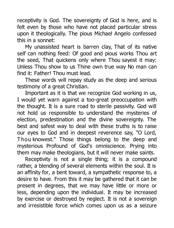receptivity is God. The sovereignty of God is here, and is felt even by those who have not placed particular stress upon it theologically. The pious Michael Angelo confessed this in a sonnet:

My unassisted heart is barren clay, That of its native self can nothing feed: Of good and pious works Thou art the seed, That quickens only where Thou sayest it may: Unless Thou show to us Thine own true way No man can find it: Father! Thou must lead.

These words will repay study as the deep and serious testimony of a great Christian.

Important as it is that we recognize God working in us, I would yet warn against a too-great preoccupation with the thought. It is a sure road to sterile passivity. God will not hold us responsible to understand the mysteries of election, predestination and the divine sovereignty. The best and safest way to deal with these truths is to raise our eyes to God and in deepest reverence say, "O Lord, Thou knowest." Those things belong to the deep and mysterious Profound of God's omniscience. Prying into them may make theologians, but it will never make saints.

Receptivity is not a single thing; it is a compound rather, a blending of several elements within the soul. It is an affinity for, a bent toward, a sympathetic response to, a desire to have. From this it may be gathered that it can be present in degrees, that we may have little or more or less, depending upon the individual. It may be increased by exercise or destroyed by neglect. It is not a sovereign and irresistible force which comes upon us as a seizure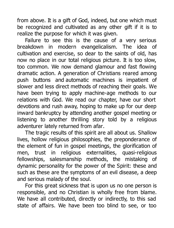from above. It is a gift of God, indeed, but one which must be recognized and cultivated as any other gift if it is to realize the purpose for which it was given.

Failure to see this is the cause of a very serious breakdown in modern evangelicalism. The idea of cultivation and exercise, so dear to the saints of old, has now no place in our total religious picture. It is too slow, too common. We now demand glamour and fast flowing dramatic action. A generation of Christians reared among push buttons and automatic machines is impatient of slower and less direct methods of reaching their goals. We have been trying to apply machine-age methods to our relations with God. We read our chapter, have our short devotions and rush away, hoping to make up for our deep inward bankruptcy by attending another gospel meeting or listening to another thrilling story told by a religious adventurer lately returned from afar.

The tragic results of this spirit are all about us. Shallow lives, hollow religious philosophies, the preponderance of the element of fun in gospel meetings, the glorification of men, trust in religious externalities, quasi-religious fellowships, salesmanship methods, the mistaking of dynamic personality for the power of the Spirit: these and such as these are the symptoms of an evil disease, a deep and serious malady of the soul.

For this great sickness that is upon us no one person is responsible, and no Christian is wholly free from blame. We have all contributed, directly or indirectly, to this sad state of affairs. We have been too blind to see, or too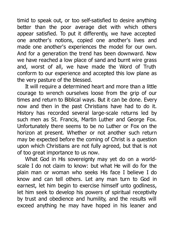timid to speak out, or too self-satisfied to desire anything better than the poor average diet with which others appear satisfied. To put it differently, we have accepted one another's notions, copied one another's lives and made one another's experiences the model for our own. And for a generation the trend has been downward. Now we have reached a low place of sand and burnt wire grass and, worst of all, we have made the Word of Truth conform to our experience and accepted this low plane as the very pasture of the blessed.

It will require a determined heart and more than a little courage to wrench ourselves loose from the grip of our times and return to Biblical ways. But it can be done. Every now and then in the past Christians have had to do it. History has recorded several large-scale returns led by such men as St. Francis, Martin Luther and George Fox. Unfortunately there seems to be no Luther or Fox on the horizon at present. Whether or not another such return may be expected before the coming of Christ is a question upon which Christians are not fully agreed, but that is not of too great importance to us now.

What God in His sovereignty may yet do on a worldscale I do not claim to know: but what He will do for the plain man or woman who seeks His face I believe I do know and can tell others. Let any man turn to God in earnest, let him begin to exercise himself unto godliness, let him seek to develop his powers of spiritual receptivity by trust and obedience and humility, and the results will exceed anything he may have hoped in his leaner and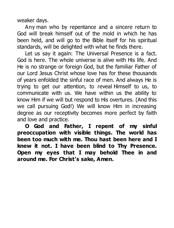weaker days.

Any man who by repentance and a sincere return to God will break himself out of the mold in which he has been held, and will go to the Bible itself for his spiritual standards, will be delighted with what he finds there.

Let us say it again: The Universal Presence is a fact. God is here. The whole universe is alive with His life. And He is no strange or foreign God, but the familiar Father of our Lord Jesus Christ whose love has for these thousands of years enfolded the sinful race of men. And always He is trying to get our attention, to reveal Himself to us, to communicate with us. We have within us the ability to know Him if we will but respond to His overtures. (And this we call pursuing God!) We will know Him in increasing degree as our receptivity becomes more perfect by faith and love and practice.

**O God and Father, I repent of my sinful preoccupation with visible things. The world has been too much with me. Thou hast been here and I knew it not. I have been blind to Thy Presence. Open my eyes that I may behold Thee in and around me. For Christ's sake, Amen.**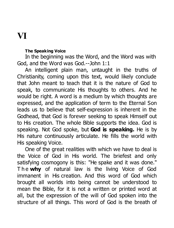## **VI**

### **The Speaking Voice**

In the beginning was the Word, and the Word was with God, and the Word was God.--John 1:1

An intelligent plain man, untaught in the truths of Christianity, coming upon this text, would likely conclude that John meant to teach that it is the nature of God to speak, to communicate His thoughts to others. And he would be right. A word is a medium by which thoughts are expressed, and the application of term to the Eternal Son leads us to believe that self-expression is inherent in the Godhead, that God is forever seeking to speak Himself out to His creation. The whole Bible supports the idea. God is speaking. Not God spoke, but **God is speaking.** He is by His nature continuously articulate. He fills the world with His speaking Voice.

One of the great realities with which we have to deal is the Voice of God in His world. The briefest and only satisfying cosmogony is this: "He spake and it was done." The **why** of natural law is the living Voice of God immanent in His creation. And this word of God which brought all worlds into being cannot be understood to mean the Bible, for it is not a written or printed word at all, but the expression of the will of God spoken into the structure of all things. This word of God is the breath of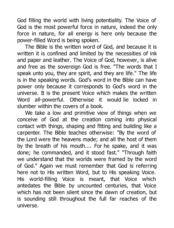God filling the world with living potentiality. The Voice of God is the most powerful force in nature, indeed the only force in nature, for all energy is here only because the power-filled Word is being spoken.

The Bible is the written word of God, and because it is written it is confined and limited by the necessities of ink and paper and leather. The Voice of God, however, is alive and free as the sovereign God is free. "The words that I speak unto you, they are spirit, and they are life." The life is in the speaking words. God's word in the Bible can have power only because it corresponds to God's word in the universe. It is the present Voice which makes the written Word all-powerful. Otherwise it would lie locked in slumber within the covers of a book.

We take a low and primitive view of things when we conceive of God at the creation coming into physical contact with things, shaping and fitting and building like a carpenter. The Bible teaches otherwise: "By the word of the Lord were the heavens made; and all the host of them by the breath of his mouth.... For he spake, and it was done; he commanded, and it stood fast." "Through faith we understand that the worlds were framed by the word of God." Again we must remember that God is referring here not to His written Word, but to His speaking Voice. His world-filling Voice is meant, that Voice which antedates the Bible by uncounted centuries, that Voice which has not been silent since the dawn of creation, but is sounding still throughout the full far reaches of the universe.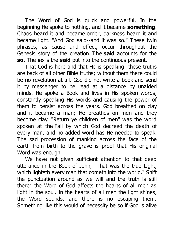The Word of God is quick and powerful. In the beginning He spoke to nothing, and it became **something**. Chaos heard it and became order, darkness heard it and became light. "And God said--and it was so." These twin phrases, as cause and effect, occur throughout the Genesis story of the creation. The **said** accounts for the **so.** The **so** is the **said** put into the continuous present.

That God is here and that He is speaking--these truths are back of all other Bible truths; without them there could be no revelation at all. God did not write a book and send it by messenger to be read at a distance by unaided minds. He spoke a Book and lives in His spoken words, constantly speaking His words and causing the power of them to persist across the years. God breathed on clay and it became a man; He breathes on men and they become clay. "Return ye children of men" was the word spoken at the Fall by which God decreed the death of every man, and no added word has He needed to speak. The sad procession of mankind across the face of the earth from birth to the grave is proof that His original Word was enough.

We have not given sufficient attention to that deep utterance in the Book of John, "That was the true Light, which lighteth every man that cometh into the world." Shift the punctuation around as we will and the truth is still there: the Word of God affects the hearts of all men as light in the soul. In the hearts of all men the light shines, the Word sounds, and there is no escaping them. Something like this would of necessity be so if God is alive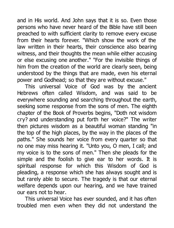and in His world. And John says that it is so. Even those persons who have never heard of the Bible have still been preached to with sufficient clarity to remove every excuse from their hearts forever. "Which show the work of the law written in their hearts, their conscience also bearing witness, and their thoughts the mean while either accusing or else excusing one another." "For the invisible things of him from the creation of the world are clearly seen, being understood by the things that are made, even his eternal power and Godhead; so that they are without excuse."

This universal Voice of God was by the ancient Hebrews often called Wisdom, and was said to be everywhere sounding and searching throughout the earth, seeking some response from the sons of men. The eighth chapter of the Book of Proverbs begins, "Doth not wisdom cry? and understanding put forth her voice?" The writer then pictures wisdom as a beautiful woman standing "in the top of the high places, by the way in the places of the paths." She sounds her voice from every quarter so that no one may miss hearing it. "Unto you, O men, I call; and my voice is to the sons of men." Then she pleads for the simple and the foolish to give ear to her words. It is spiritual response for which this Wisdom of God is pleading, a response which she has always sought and is but rarely able to secure. The tragedy is that our eternal welfare depends upon our hearing, and we have trained our ears not to hear.

This universal Voice has ever sounded, and it has often troubled men even when they did not understand the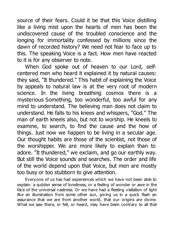source of their fears. Could it be that this Voice distilling like a living mist upon the hearts of men has been the undiscovered cause of the troubled conscience and the longing for immortality confessed by millions since the dawn of recorded history? We need not fear to face up to this. The speaking Voice is a fact. How men have reacted to it is for any observer to note.

When God spoke out of heaven to our Lord, selfcentered men who heard it explained it by natural causes: they said, "It thundered." This habit of explaining the Voice by appeals to natural law is at the very root of modern science. In the living breathing cosmos there is a mysterious Something, too wonderful, too awful for any mind to understand. The believing man does not claim to understand. He falls to his knees and whispers, "God." The man of earth kneels also, but not to worship. He kneels to examine, to search, to find the cause and the how of things. Just now we happen to be living in a secular age. Our thought habits are those of the scientist, not those of the worshipper. We are more likely to explain than to adore. "It thundered," we exclaim, and go our earthly way. But still the Voice sounds and searches. The order and life of the world depend upon that Voice, but men are mostly too busy or too stubborn to give attention.

Everyone of us has had experiences which we have not been able to explain: a sudden sense of loneliness, or a feeling of wonder or awe in the face of the universal vastness. Or we have had a fleeting visitation of light like an illumination from some other sun, giving us in a quick flash an assurance that we are from another world, that our origins are divine. What we saw there, or felt, or heard, may have been contrary to all that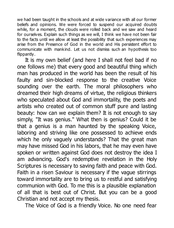we had been taught in the schools and at wide variance with all our former beliefs and opinions. We were forced to suspend our acquired doubts while, for a moment, the clouds were rolled back and we saw and heard for ourselves. Explain such things as we will, I think we have not been fair to the facts until we allow at least the possibility that such experiences may arise from the Presence of God in the world and His persistent effort to communicate with mankind. Let us not dismiss such an hypothesis too flippantly.

It is my own belief (and here I shall not feel bad if no one follows me) that every good and beautiful thing which man has produced in the world has been the result of his faulty and sin-blocked response to the creative Voice sounding over the earth. The moral philosophers who dreamed their high dreams of virtue, the religious thinkers who speculated about God and immortality, the poets and artists who created out of common stuff pure and lasting beauty: how can we explain them? It is not enough to say simply, "It was genius." What then is genius? Could it be that a genius is a man haunted by the speaking Voice, laboring and striving like one possessed to achieve ends which he only vaguely understands? That the great man may have missed God in his labors, that he may even have spoken or written against God does not destroy the idea I am advancing. God's redemptive revelation in the Holy Scriptures is necessary to saving faith and peace with God. Faith in a risen Saviour is necessary if the vague stirrings toward immortality are to bring us to restful and satisfying communion with God. To me this is a plausible explanation of all that is best out of Christ. But you can be a good Christian and not accept my thesis.

The Voice of God is a friendly Voice. No one need fear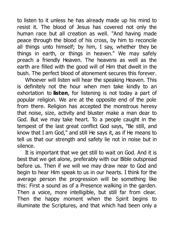to listen to it unless he has already made up his mind to resist it. The blood of Jesus has covered not only the human race but all creation as well. "And having made peace through the blood of his cross, by him to reconcile all things unto himself; by him, I say, whether they be things in earth, or things in heaven." We may safely preach a friendly Heaven. The heavens as well as the earth are filled with the good will of Him that dwelt in the bush. The perfect blood of atonement secures this forever.

Whoever will listen will hear the speaking Heaven. This is definitely not the hour when men take kindly to an exhortation to **listen**, for listening is not today a part of popular religion. We are at the opposite end of the pole from there. Religion has accepted the monstrous heresy that noise, size, activity and bluster make a man dear to God. But we may take heart. To a people caught in the tempest of the last great conflict God says, "Be still, and know that I am God," and still He says it, as if He means to tell us that our strength and safety lie not in noise but in silence.

It is important that we get still to wait on God. And it is best that we get alone, preferably with our Bible outspread before us. Then if we will we may draw near to God and begin to hear Him speak to us in our hearts. I think for the average person the progression will be something like this: First a sound as of a Presence walking in the garden. Then a voice, more intelligible, but still far from clear. Then the happy moment when the Spirit begins to illuminate the Scriptures, and that which had been only a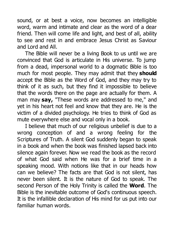sound, or at best a voice, now becomes an intelligible word, warm and intimate and clear as the word of a dear friend. Then will come life and light, and best of all, ability to see and rest in and embrace Jesus Christ as Saviour and Lord and All.

The Bible will never be a living Book to us until we are convinced that God is articulate in His universe. To jump from a dead, impersonal world to a dogmatic Bible is too much for most people. They may admit that they **should** accept the Bible as the Word of God, and they may try to think of it as such, but they find it impossible to believe that the words there on the page are actually for them. A man may **say,** "These words are addressed to me," and yet in his heart not feel and know that they are. He is the victim of a divided psychology. He tries to think of God as mute everywhere else and vocal only in a book.

I believe that much of our religious unbelief is due to a wrong conception of and a wrong feeling for the Scriptures of Truth. A silent God suddenly began to speak in a book and when the book was finished lapsed back into silence again forever. Now we read the book as the record of what God said when He was for a brief time in a speaking mood. With notions like that in our heads how can we believe? The facts are that God is not silent, has never been silent. It is the nature of God to speak. The second Person of the Holy Trinity is called the **Word**. The Bible is the inevitable outcome of God's continuous speech. It is the infallible declaration of His mind for us put into our familiar human words.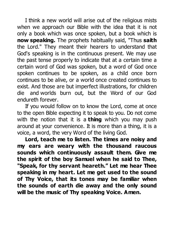I think a new world will arise out of the religious mists when we approach our Bible with the idea that it is not only a book which was once spoken, but a book which is **now speaking.** The prophets habitually said, "Thus **saith** the Lord." They meant their hearers to understand that God's speaking is in the continuous present. We may use the past tense properly to indicate that at a certain time a certain word of God was spoken, but a word of God once spoken continues to be spoken, as a child once born continues to be alive, or a world once created continues to exist. And those are but imperfect illustrations, for children die and worlds burn out, but the Word of our God endureth forever.

If you would follow on to know the Lord, come at once to the open Bible expecting it to speak to you. Do not come with the notion that it is a **thing** which you may push around at your convenience. It is more than a thing, it is a voice, a word, the very Word of the living God.

**Lord, teach me to listen. The times are noisy and my ears are weary with the thousand raucous sounds which continuously assault them. Give me the spirit of the boy Samuel when he said to Thee, "Speak, for thy servant heareth." Let me hear Thee speaking in my heart. Let me get used to the sound of Thy Voice, that its tones may be familiar when the sounds of earth die away and the only sound will be the music of Thy speaking Voice. Amen.**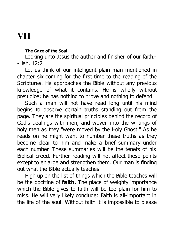### **VII**

#### **The Gaze of the Soul**

Looking unto Jesus the author and finisher of our faith.- -Heb. 12:2

Let us think of our intelligent plain man mentioned in chapter six coming for the first time to the reading of the Scriptures. He approaches the Bible without any previous knowledge of what it contains. He is wholly without prejudice; he has nothing to prove and nothing to defend.

Such a man will not have read long until his mind begins to observe certain truths standing out from the page. They are the spiritual principles behind the record of God's dealings with men, and woven into the writings of holy men as they "were moved by the Holy Ghost." As he reads on he might want to number these truths as they become clear to him and make a brief summary under each number. These summaries will be the tenets of his Biblical creed. Further reading will not affect these points except to enlarge and strengthen them. Our man is finding out what the Bible actually teaches.

High up on the list of things which the Bible teaches will be the doctrine of **faith.** The place of weighty importance which the Bible gives to faith will be too plain for him to miss. He will very likely conclude: Faith is all-important in the life of the soul. Without faith it is impossible to please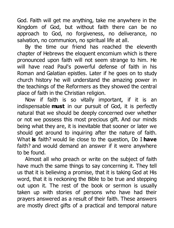God. Faith will get me anything, take me anywhere in the Kingdom of God, but without faith there can be no approach to God, no forgiveness, no deliverance, no salvation, no communion, no spiritual life at all.

By the time our friend has reached the eleventh chapter of Hebrews the eloquent encomium which is there pronounced upon faith will not seem strange to him. He will have read Paul's powerful defense of faith in his Roman and Galatian epistles. Later if he goes on to study church history he will understand the amazing power in the teachings of the Reformers as they showed the central place of faith in the Christian religion.

Now if faith is so vitally important, if it is an indispensable **must** in our pursuit of God, it is perfectly natural that we should be deeply concerned over whether or not we possess this most precious gift. And our minds being what they are, it is inevitable that sooner or later we should get around to inquiring after the nature of faith. What **is** faith? would lie close to the question, Do I **have** faith? and would demand an answer if it were anywhere to be found.

Almost all who preach or write on the subject of faith have much the same things to say concerning it. They tell us that it is believing a promise, that it is taking God at His word, that it is reckoning the Bible to be true and stepping out upon it. The rest of the book or sermon is usually taken up with stories of persons who have had their prayers answered as a result of their faith. These answers are mostly direct gifts of a practical and temporal nature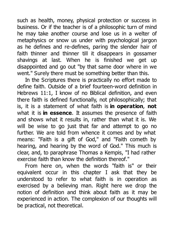such as health, money, physical protection or success in business. Or if the teacher is of a philosophic turn of mind he may take another course and lose us in a welter of metaphysics or snow us under with psychological jargon as he defines and re-defines, paring the slender hair of faith thinner and thinner till it disappears in gossamer shavings at last. When he is finished we get up disappointed and go out "by that same door where in we went." Surely there must be something better than this.

In the Scriptures there is practically no effort made to define faith. Outside of a brief fourteen-word definition in Hebrews 11:1, I know of no Biblical definition, and even there faith is defined functionally, not philosophically; that is, it is a statement of what faith is **in operation**, **not** what it is **in essence**. It assumes the presence of faith and shows what it results in, rather than what it is. We will be wise to go just that far and attempt to go no further. We are told from whence it comes and by what means: "Faith is a gift of God," and "Faith cometh by hearing, and hearing by the word of God." This much is clear, and, to paraphrase Thomas a Kempis, "I had rather exercise faith than know the definition thereof."

From here on, when the words "faith is" or their equivalent occur in this chapter I ask that they be understood to refer to what faith is in operation as exercised by a believing man. Right here we drop the notion of definition and think about faith as it may be experienced in action. The complexion of our thoughts will be practical, not theoretical.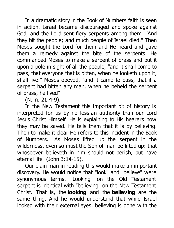In a dramatic story in the Book of Numbers faith is seen in action. Israel became discouraged and spoke against God, and the Lord sent fiery serpents among them. "And they bit the people; and much people of Israel died." Then Moses sought the Lord for them and He heard and gave them a remedy against the bite of the serpents. He commanded Moses to make a serpent of brass and put it upon a pole in sight of all the people, "and it shall come to pass, that everyone that is bitten, when he looketh upon it, shall live." Moses obeyed, "and it came to pass, that if a serpent had bitten any man, when he beheld the serpent of brass, he lived"

(Num. 21:4-9).

In the New Testament this important bit of history is interpreted for us by no less an authority than our Lord Jesus Christ Himself. He is explaining to His hearers how they may be saved. He tells them that it is by believing. Then to make it clear He refers to this incident in the Book of Numbers. "As Moses lifted up the serpent in the wilderness, even so must the Son of man be lifted up: that whosoever believeth in him should not perish, but have eternal life" (John 3:14-15).

Our plain man in reading this would make an important discovery. He would notice that "look" and "believe" were synonymous terms. "Looking" on the Old Testament serpent is identical with "believing" on the New Testament Christ. That is, the **looking** and the **believing** are the same thing. And he would understand that while Israel looked with their external eyes, believing is done with the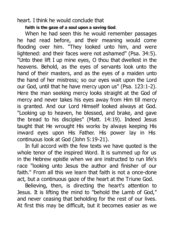heart. I think he would conclude that

**faith is the gaze of a soul upon a saving God**.

When he had seen this he would remember passages he had read before, and their meaning would come flooding over him. "They looked unto him, and were lightened: and their faces were not ashamed" (Psa. 34:5). "Unto thee lift I up mine eyes, O thou that dwellest in the heavens. Behold, as the eyes of servants look unto the hand of their masters, and as the eyes of a maiden unto the hand of her mistress; so our eyes wait upon the Lord our God, until that he have mercy upon us" (Psa. 123:1-2). Here the man seeking mercy looks straight at the God of mercy and never takes his eyes away from Him till mercy is granted. And our Lord Himself looked always at God. "Looking up to heaven, he blessed, and brake, and gave the bread to his disciples" (Matt. 14:19). Indeed Jesus taught that He wrought His works by always keeping His inward eyes upon His Father. His power lay in His continuous look at God (John 5:19-21).

In full accord with the few texts we have quoted is the whole tenor of the inspired Word. It is summed up for us in the Hebrew epistle when we are instructed to run life's race "looking unto Jesus the author and finisher of our faith." From all this we learn that faith is not a once-done act, but a continuous gaze of the heart at the Triune God.

Believing, then, is directing the heart's attention to Jesus. It is lifting the mind to "behold the Lamb of God," and never ceasing that beholding for the rest of our lives. At first this may be difficult, but it becomes easier as we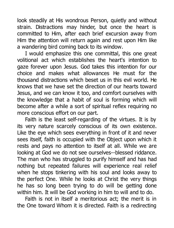look steadily at His wondrous Person, quietly and without strain. Distractions may hinder, but once the heart is committed to Him, after each brief excursion away from Him the attention will return again and rest upon Him like a wandering bird coming back to its window.

I would emphasize this one committal, this one great volitional act which establishes the heart's intention to gaze forever upon Jesus. God takes this intention for our choice and makes what allowances He must for the thousand distractions which beset us in this evil world. He knows that we have set the direction of our hearts toward Jesus, and we can know it too, and comfort ourselves with the knowledge that a habit of soul is forming which will become after a while a sort of spiritual reflex requiring no more conscious effort on our part.

Faith is the least self-regarding of the virtues. It is by its very nature scarcely conscious of its own existence. Like the eye which sees everything in front of it and never sees itself, faith is occupied with the Object upon which it rests and pays no attention to itself at all. While we are looking at God we do not see ourselves--blessed riddance. The man who has struggled to purify himself and has had nothing but repeated failures will experience real relief when he stops tinkering with his soul and looks away to the perfect One. While he looks at Christ the very things he has so long been trying to do will be getting done within him. It will be God working in him to will and to do.

Faith is not in itself a meritorious act; the merit is in the One toward Whom it is directed. Faith is a redirecting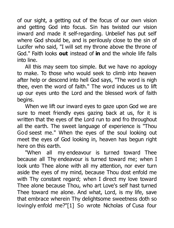of our sight, a getting out of the focus of our own vision and getting God into focus. Sin has twisted our vision inward and made it self-regarding. Unbelief has put self where God should be, and is perilously close to the sin of Lucifer who said, "I will set my throne above the throne of God." Faith looks **out** instead of **in** and the whole life falls into line.

All this may seem too simple. But we have no apology to make. To those who would seek to climb into heaven after help or descend into hell God says, "The word is nigh thee, even the word of faith." The word induces us to lift up our eyes unto the Lord and the blessed work of faith begins.

When we lift our inward eyes to gaze upon God we are sure to meet friendly eyes gazing back at us, for it is written that the eyes of the Lord run to and fro throughout all the earth. The sweet language of experience is "Thou God seest me." When the eyes of the soul looking out meet the eyes of God looking in, heaven has begun right here on this earth.

"When all my endeavour is turned toward Thee because all Thy endeavour is turned toward me; when I look unto Thee alone with all my attention, nor ever turn aside the eyes of my mind, because Thou dost enfold me with Thy constant regard; when I direct my love toward Thee alone because Thou, who art Love's self hast turned Thee toward me alone. And what, Lord, is my life, save that embrace wherein Thy delightsome sweetness doth so lovingly enfold me?"[1] So wrote Nicholas of Cusa four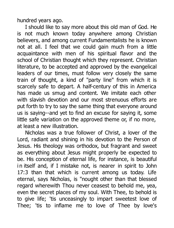hundred years ago.

I should like to say more about this old man of God. He is not much known today anywhere among Christian believers, and among current Fundamentalists he is known not at all. I feel that we could gain much from a little acquaintance with men of his spiritual flavor and the school of Christian thought which they represent. Christian literature, to be accepted and approved by the evangelical leaders of our times, must follow very closely the same train of thought, a kind of "party line" from which it is scarcely safe to depart. A half-century of this in America has made us smug and content. We imitate each other with slavish devotion and our most strenuous efforts are put forth to try to say the same thing that everyone around us is saying--and yet to find an excuse for saying it, some little safe variation on the approved theme or, if no more, at least a new illustration.

Nicholas was a true follower of Christ, a lover of the Lord, radiant and shining in his devotion to the Person of Jesus. His theology was orthodox, but fragrant and sweet as everything about Jesus might properly be expected to be. His conception of eternal life, for instance, is beautiful in itself and, if I mistake not, is nearer in spirit to John 17:3 than that which is current among us today. Life eternal, says Nicholas, is "nought other than that blessed regard wherewith Thou never ceasest to behold me, yea, even the secret places of my soul. With Thee, to behold is to give life; 'tis unceasingly to impart sweetest love of Thee; 'tis to inflame me to love of Thee by love's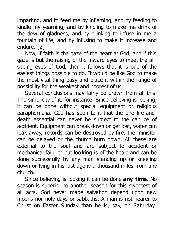imparting, and to feed me by inflaming, and by feeding to kindle my yearning, and by kindling to make me drink of the dew of gladness, and by drinking to infuse in me a fountain of life, and by infusing to make it increase and endure."[2]

Now, if faith is the gaze of the heart at God, and if this gaze is but the raising of the inward eyes to meet the allseeing eyes of God, then it follows that it is one of the easiest things possible to do. It would be like God to make the most vital thing easy and place it within the range of possibility for the weakest and poorest of us.

Several conclusions may fairly be drawn from all this. The simplicity of it, for instance. Since believing is looking, it can be done without special equipment or religious paraphernalia. God has seen to it that the one life-anddeath essential can never be subject to the caprice of accident. Equipment can break down or get lost, water can leak away, records can be destroyed by fire, the minister can be delayed or the church burn down. All these are external to the soul and are subject to accident or mechanical failure: but **looking** is of the heart and can be done successfully by any man standing up or kneeling down or lying in his last agony a thousand miles from any church.

Since believing is looking it can be done **any time.** No season is superior to another season for this sweetest of all acts. God never made salvation depend upon new moons nor holy days or sabbaths. A man is not nearer to Christ on Easter Sunday than he is, say, on Saturday,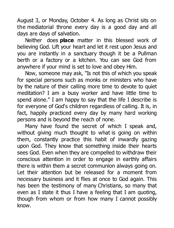August 3, or Monday, October 4. As long as Christ sits on the mediatorial throne every day is a good day and all days are days of salvation.

Neither does **place** matter in this blessed work of believing God. Lift your heart and let it rest upon Jesus and you are instantly in a sanctuary though it be a Pullman berth or a factory or a kitchen. You can see God from anywhere if your mind is set to love and obey Him.

Now, someone may ask, "Is not this of which you speak for special persons such as monks or ministers who have by the nature of their calling more time to devote to quiet meditation? I am a busy worker and have little time to spend alone." I am happy to say that the life I describe is for everyone of God's children regardless of calling. It is, in fact, happily practiced every day by many hard working persons and is beyond the reach of none.

Many have found the secret of which I speak and, without giving much thought to what is going on within them, constantly practice this habit of inwardly gazing upon God. They know that something inside their hearts sees God. Even when they are compelled to withdraw their conscious attention in order to engage in earthly affairs there is within them a secret communion always going on. Let their attention but be released for a moment from necessary business and it flies at once to God again. This has been the testimony of many Christians, so many that even as I state it thus I have a feeling that I am quoting, though from whom or from how many I cannot possibly know.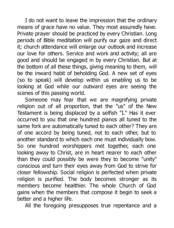I do not want to leave the impression that the ordinary means of grace have no value. They most assuredly have. Private prayer should be practiced by every Christian. Long periods of Bible meditation will purify our gaze and direct it; church attendance will enlarge our outlook and increase our love for others. Service and work and activity; all are good and should be engaged in by every Christian. But at the bottom of all these things, giving meaning to them, will be the inward habit of beholding God. A new set of eyes (so to speak) will develop within us enabling us to be looking at God while our outward eyes are seeing the scenes of this passing world.

Someone may fear that we are magnifying private religion out of all proportion, that the "us" of the New Testament is being displaced by a selfish "I." Has it ever occurred to you that one hundred pianos all tuned to the same fork are automatically tuned to each other? They are of one accord by being tuned, not to each other, but to another standard to which each one must individually bow. So one hundred worshippers met together, each one looking away to Christ, are in heart nearer to each other than they could possibly be were they to become "unity" conscious and turn their eyes away from God to strive for closer fellowship. Social religion is perfected when private religion is purified. The body becomes stronger as its members become healthier. The whole Church of God gains when the members that compose it begin to seek a better and a higher life.

All the foregoing presupposes true repentance and a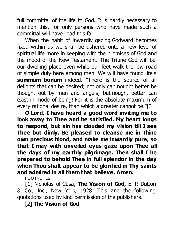full committal of the life to God. It is hardly necessary to mention this, for only persons who have made such a committal will have read this far.

When the habit of inwardly gazing Godward becomes fixed within us we shall be ushered onto a new level of spiritual life more in keeping with the promises of God and the mood of the New Testament. The Triune God will be our dwelling place even while our feet walk the low road of simple duty here among men. We will have found life's **summum bonum** indeed. "There is the source of all delights that can be desired; not only can nought better be thought out by men and angels, but nought better can exist in mode of being! For it is the absolute maximum of every rational desire, than which a greater cannot be."[3]

**O Lord, I have heard a good word inviting me to look away to Thee and be satisfied. My heart longs to respond, but sin has clouded my vision till I see Thee but dimly. Be pleased to cleanse me in Thine own precious blood, and make me inwardly pure, so that I may with unveiled eyes gaze upon Thee all the days of my earthly pilgrimage. Then shall I be prepared to behold Thee in full splendor in the day when Thou shalt appear to be glorified in Thy saints and admired in all them that believe. Amen.**

FOOTNOTES:

[1] Nicholas of Cusa, **The Vision of God,** E. P. Dutton & Co., Inc., New York, 1928. This and the following quotations used by kind permission of the publishers.

[2] **The Vision of God**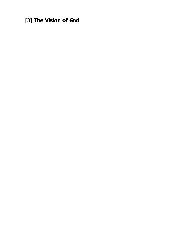[3] **The Vision of God**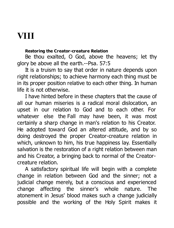# **VIII**

### **Restoring the Creator-creature Relation**

Be thou exalted, O God, above the heavens; let thy glory be above all the earth.--Psa. 57:5

It is a truism to say that order in nature depends upon right relationships; to achieve harmony each thing must be in its proper position relative to each other thing. In human life it is not otherwise.

I have hinted before in these chapters that the cause of all our human miseries is a radical moral dislocation, an upset in our relation to God and to each other. For whatever else the Fall may have been, it was most certainly a sharp change in man's relation to his Creator. He adopted toward God an altered attitude, and by so doing destroyed the proper Creator-creature relation in which, unknown to him, his true happiness lay. Essentially salvation is the restoration of a right relation between man and his Creator, a bringing back to normal of the Creatorcreature relation.

A satisfactory spiritual life will begin with a complete change in relation between God and the sinner; not a judicial change merely, but a conscious and experienced change affecting the sinner's whole nature. The atonement in Jesus' blood makes such a change judicially possible and the working of the Holy Spirit makes it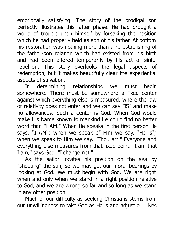emotionally satisfying. The story of the prodigal son perfectly illustrates this latter phase. He had brought a world of trouble upon himself by forsaking the position which he had properly held as son of his father. At bottom his restoration was nothing more than a re-establishing of the father-son relation which had existed from his birth and had been altered temporarily by his act of sinful rebellion. This story overlooks the legal aspects of redemption, but it makes beautifully clear the experiential aspects of salvation.

In determining relationships we must begin somewhere. There must be somewhere a fixed center against which everything else is measured, where the law of relativity does not enter and we can say "IS" and make no allowances. Such a center is God. When God would make His Name known to mankind He could find no better word than "I AM." When He speaks in the first person He says, "I AM"; when we speak of Him we say, "He is"; when we speak to Him we say, "Thou art." Everyone and everything else measures from that fixed point. "I am that I am," says God, "I change not."

As the sailor locates his position on the sea by "shooting" the sun, so we may get our moral bearings by looking at God. We must begin with God. We are right when and only when we stand in a right position relative to God, and we are wrong so far and so long as we stand in any other position.

Much of our difficulty as seeking Christians stems from our unwillingness to take God as He is and adjust our lives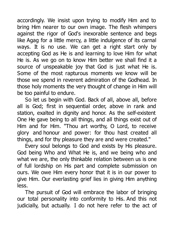accordingly. We insist upon trying to modify Him and to bring Him nearer to our own image. The flesh whimpers against the rigor of God's inexorable sentence and begs like Agag for a little mercy, a little indulgence of its carnal ways. It is no use. We can get a right start only by accepting God as He is and learning to love Him for what He is. As we go on to know Him better we shall find it a source of unspeakable joy that God is just what He is. Some of the most rapturous moments we know will be those we spend in reverent admiration of the Godhead. In those holy moments the very thought of change in Him will be too painful to endure.

So let us begin with God. Back of all, above all, before all is God; first in sequential order, above in rank and station, exalted in dignity and honor. As the self-existent One He gave being to all things, and all things exist out of Him and for Him. "Thou art worthy, O Lord, to receive glory and honour and power: for thou hast created all things, and for thy pleasure they are and were created."

Every soul belongs to God and exists by His pleasure. God being Who and What He is, and we being who and what we are, the only thinkable relation between us is one of full lordship on His part and complete submission on ours. We owe Him every honor that it is in our power to give Him. Our everlasting grief lies in giving Him anything less.

The pursuit of God will embrace the labor of bringing our total personality into conformity to His. And this not judicially, but actually. I do not here refer to the act of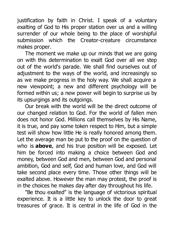justification by faith in Christ. I speak of a voluntary exalting of God to His proper station over us and a willing surrender of our whole being to the place of worshipful submission which the Creator-creature circumstance makes proper.

The moment we make up our minds that we are going on with this determination to exalt God over all we step out of the world's parade. We shall find ourselves out of adjustment to the ways of the world, and increasingly so as we make progress in the holy way. We shall acquire a new viewpoint; a new and different psychology will be formed within us; a new power will begin to surprise us by its upsurgings and its outgoings.

Our break with the world will be the direct outcome of our changed relation to God. For the world of fallen men does not honor God. Millions call themselves by His Name, it is true, and pay some token respect to Him, but a simple test will show how little He is really honored among them. Let the average man be put to the proof on the question of who is **above**, and his true position will be exposed. Let him be forced into making a choice between God and money, between God and men, between God and personal ambition, God and self, God and human love, and God will take second place every time. Those other things will be exalted above. However the man may protest, the proof is in the choices he makes day after day throughout his life.

"Be thou exalted" is the language of victorious spiritual experience. It is a little key to unlock the door to great treasures of grace. It is central in the life of God in the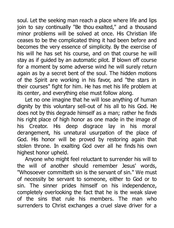soul. Let the seeking man reach a place where life and lips join to say continually "Be thou exalted," and a thousand minor problems will be solved at once. His Christian life ceases to be the complicated thing it had been before and becomes the very essence of simplicity. By the exercise of his will he has set his course, and on that course he will stay as if guided by an automatic pilot. If blown off course for a moment by some adverse wind he will surely return again as by a secret bent of the soul. The hidden motions of the Spirit are working in his favor, and "the stars in their courses" fight for him. He has met his life problem at its center, and everything else must follow along.

Let no one imagine that he will lose anything of human dignity by this voluntary sell-out of his all to his God. He does not by this degrade himself as a man; rather he finds his right place of high honor as one made in the image of his Creator. His deep disgrace lay in his moral derangement, his unnatural usurpation of the place of God. His honor will be proved by restoring again that stolen throne. In exalting God over all he finds his own highest honor upheld.

Anyone who might feel reluctant to surrender his will to the will of another should remember Jesus' words, "Whosoever committeth sin is the servant of sin." We must of necessity be servant to someone, either to God or to sin. The sinner prides himself on his independence, completely overlooking the fact that he is the weak slave of the sins that rule his members. The man who surrenders to Christ exchanges a cruel slave driver for a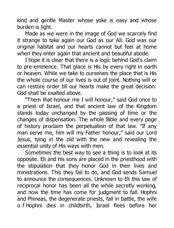kind and gentle Master whose yoke is easy and whose burden is light.

Made as we were in the image of God we scarcely find it strange to take again our God as our All. God was our original habitat and our hearts cannot but feel at home when they enter again that ancient and beautiful abode.

I hope it is clear that there is a logic behind God's claim to pre-eminence. That place is His by every right in earth or heaven. While we take to ourselves the place that is His the whole course of our lives is out of joint. Nothing will or can restore order till our hearts make the great decision: God shall be exalted above.

"Them that honour me I will honour," said God once to a priest of Israel, and that ancient law of the Kingdom stands today unchanged by the passing of time or the changes of dispensation. The whole Bible and every page of history proclaim the perpetuation of that law. "If any man serve me, him will my Father honour," said our Lord Jesus, tying in the old with the new and revealing the essential unity of His ways with men.

Sometimes the best way to see a thing is to look at its opposite. Eli and his sons are placed in the priesthood with the stipulation that they honor God in their lives and ministrations. This they fail to do, and God sends Samuel to announce the consequences. Unknown to Eli this law of reciprocal honor has been all the while secretly working, and now the time has come for judgment to fall. Hophni and Phineas, the degenerate priests, fall in battle, the wife o f Hophni dies in childbirth, Israel flees before her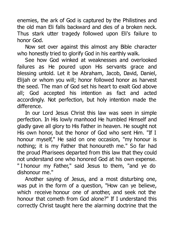enemies, the ark of God is captured by the Philistines and the old man Eli falls backward and dies of a broken neck. Thus stark utter tragedy followed upon Eli's failure to honor God.

Now set over against this almost any Bible character who honestly tried to glorify God in his earthly walk.

See how God winked at weaknesses and overlooked failures as He poured upon His servants grace and blessing untold. Let it be Abraham, Jacob, David, Daniel, Elijah or whom you will; honor followed honor as harvest the seed. The man of God set his heart to exalt God above all; God accepted his intention as fact and acted accordingly. Not perfection, but holy intention made the difference.

In our Lord Jesus Christ this law was seen in simple perfection. In His lowly manhood He humbled Himself and gladly gave all glory to His Father in heaven. He sought not His own honor, but the honor of God who sent Him. "If I honour myself," He said on one occasion, "my honour is nothing; it is my Father that honoureth me." So far had the proud Pharisees departed from this law that they could not understand one who honored God at his own expense. " I honour my Father," said Jesus to them, "and ye do dishonour me."

Another saying of Jesus, and a most disturbing one, was put in the form of a question, "How can ye believe, which receive honour one of another, and seek not the honour that cometh from God alone?" If I understand this correctly Christ taught here the alarming doctrine that the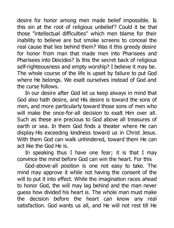desire for honor among men made belief impossible. Is this sin at the root of religious unbelief? Could it be that those "intellectual difficulties" which men blame for their inability to believe are but smoke screens to conceal the real cause that lies behind them? Was it this greedy desire for honor from man that made men into Pharisees and Pharisees into Deicides? Is this the secret back of religious self-righteousness and empty worship? I believe it may be. The whole course of the life is upset by failure to put God where He belongs. We exalt ourselves instead of God and the curse follows.

In our desire after God let us keep always in mind that God also hath desire, and His desire is toward the sons of men, and more particularly toward those sons of men who will make the once-for-all decision to exalt Him over all. Such as these are precious to God above all treasures of earth or sea. In them God finds a theater where He can display His exceeding kindness toward us in Christ Jesus. With them God can walk unhindered, toward them He can act like the God He is.

In speaking thus I have one fear; it is that I may convince the mind before God can win the heart. For this

God-above-all position is one not easy to take. The mind may approve it while not having the consent of the will to put it into effect. While the imagination races ahead to honor God, the will may lag behind and the man never guess how divided his heart is. The whole man must make the decision before the heart can know any real satisfaction. God wants us all, and He will not rest till He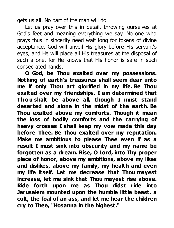gets us all. No part of the man will do.

Let us pray over this in detail, throwing ourselves at God's feet and meaning everything we say. No one who prays thus in sincerity need wait long for tokens of divine acceptance. God will unveil His glory before His servant's eyes, and He will place all His treasures at the disposal of such a one, for He knows that His honor is safe in such consecrated hands.

**O God, be Thou exalted over my possessions. Nothing of earth's treasures shall seem dear unto me if only Thou art glorified in my life. Be Thou exalted over my friendships. I am determined that Thou shalt be above all, though I must stand deserted and alone in the midst of the earth. Be Thou exalted above my comforts. Though it mean the loss of bodily comforts and the carrying of heavy crosses I shall keep my vow made this day before Thee. Be Thou exalted over my reputation. Make me ambitious to please Thee even if as a result I must sink into obscurity and my name be forgotten as a dream. Rise, O Lord, into Thy proper place of honor, above my ambitions, above my likes and dislikes, above my family, my health and even my life itself. Let me decrease that Thou mayest increase, let me sink that Thou mayest rise above. Ride forth upon me as Thou didst ride into Jerusalem mounted upon the humble little beast, a colt, the foal of an ass, and let me hear the children cry to Thee, "Hosanna in the highest."**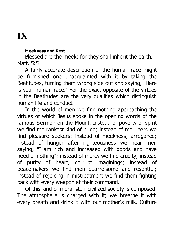## **IX**

#### **Meekness and Rest**

Blessed are the meek: for they shall inherit the earth.-- Matt. 5:5

A fairly accurate description of the human race might be furnished one unacquainted with it by taking the Beatitudes, turning them wrong side out and saying, "Here is your human race." For the exact opposite of the virtues in the Beatitudes are the very qualities which distinguish human life and conduct.

In the world of men we find nothing approaching the virtues of which Jesus spoke in the opening words of the famous Sermon on the Mount. Instead of poverty of spirit we find the rankest kind of pride; instead of mourners we find pleasure seekers; instead of meekness, arrogance; instead of hunger after righteousness we hear men saying, "I am rich and increased with goods and have need of nothing"; instead of mercy we find cruelty; instead of purity of heart, corrupt imaginings; instead of peacemakers we find men quarrelsome and resentful; instead of rejoicing in mistreatment we find them fighting back with every weapon at their command.

Of this kind of moral stuff civilized society is composed. The atmosphere is charged with it; we breathe it with every breath and drink it with our mother's milk. Culture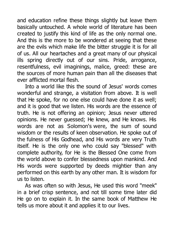and education refine these things slightly but leave them basically untouched. A whole world of literature has been created to justify this kind of life as the only normal one. And this is the more to be wondered at seeing that these are the evils which make life the bitter struggle it is for all of us. All our heartaches and a great many of our physical ills spring directly out of our sins. Pride, arrogance, resentfulness, evil imaginings, malice, greed: these are the sources of more human pain than all the diseases that ever afflicted mortal flesh.

Into a world like this the sound of Jesus' words comes wonderful and strange, a visitation from above. It is well that He spoke, for no one else could have done it as well; and it is good that we listen. His words are the essence of truth. He is not offering an opinion; Jesus never uttered opinions. He never guessed; He knew, and He knows. His words are not as Solomon's were, the sum of sound wisdom or the results of keen observation. He spoke out of the fulness of His Godhead, and His words are very Truth itself. He is the only one who could say "blessed" with complete authority, for He is the Blessed One come from the world above to confer blessedness upon mankind. And His words were supported by deeds mightier than any performed on this earth by any other man. It is wisdom for us to listen.

As was often so with Jesus, He used this word "meek" in a brief crisp sentence, and not till some time later did He go on to explain it. In the same book of Matthew He tells us more about it and applies it to our lives.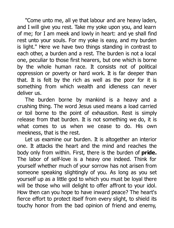"Come unto me, all ye that labour and are heavy laden, and I will give you rest. Take my yoke upon you, and learn of me; for I am meek and lowly in heart: and ye shall find rest unto your souls. For my yoke is easy, and my burden is light." Here we have two things standing in contrast to each other, a burden and a rest. The burden is not a local one, peculiar to those first hearers, but one which is borne by the whole human race. It consists not of political oppression or poverty or hard work. It is far deeper than that. It is felt by the rich as well as the poor for it is something from which wealth and idleness can never deliver us.

The burden borne by mankind is a heavy and a crushing thing. The word Jesus used means a load carried or toil borne to the point of exhaustion. Rest is simply release from that burden. It is not something we do, it is what comes to us when we cease to do. His own meekness, that is the rest.

Let us examine our burden. It is altogether an interior one. It attacks the heart and the mind and reaches the body only from within. First, there is the burden of **pride.** The labor of self-love is a heavy one indeed. Think for yourself whether much of your sorrow has not arisen from someone speaking slightingly of you. As long as you set yourself up as a little god to which you must be loyal there will be those who will delight to offer affront to your idol. How then can you hope to have inward peace? The heart's fierce effort to protect itself from every slight, to shield its touchy honor from the bad opinion of friend and enemy,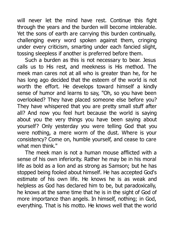will never let the mind have rest. Continue this fight through the years and the burden will become intolerable. Yet the sons of earth are carrying this burden continually, challenging every word spoken against them, cringing under every criticism, smarting under each fancied slight, tossing sleepless if another is preferred before them.

Such a burden as this is not necessary to bear. Jesus calls us to His rest, and meekness is His method. The meek man cares not at all who is greater than he, for he has long ago decided that the esteem of the world is not worth the effort. He develops toward himself a kindly sense of humor and learns to say, "Oh, so you have been overlooked? They have placed someone else before you? They have whispered that you are pretty small stuff after all? And now you feel hurt because the world is saying about you the very things you have been saying about yourself? Only yesterday you were telling God that you were nothing, a mere worm of the dust. Where is your consistency? Come on, humble yourself, and cease to care what men think."

The meek man is not a human mouse afflicted with a sense of his own inferiority. Rather he may be in his moral life as bold as a lion and as strong as Samson; but he has stopped being fooled about himself. He has accepted God's estimate of his own life. He knows he is as weak and helpless as God has declared him to be, but paradoxically, he knows at the same time that he is in the sight of God of more importance than angels. In himself, nothing; in God, everything. That is his motto. He knows well that the world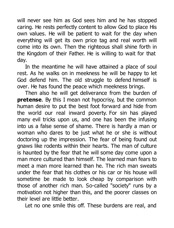will never see him as God sees him and he has stopped caring. He rests perfectly content to allow God to place His own values. He will be patient to wait for the day when everything will get its own price tag and real worth will come into its own. Then the righteous shall shine forth in the Kingdom of their Father. He is willing to wait for that day.

In the meantime he will have attained a place of soul rest. As he walks on in meekness he will be happy to let God defend him. The old struggle to defend himself is over. He has found the peace which meekness brings.

Then also he will get deliverance from the burden of **pretense**. By this I mean not hypocrisy, but the common human desire to put the best foot forward and hide from the world our real inward poverty. For sin has played many evil tricks upon us, and one has been the infusing into us a false sense of shame. There is hardly a man or woman who dares to be just what he or she is without doctoring up the impression. The fear of being found out gnaws like rodents within their hearts. The man of culture is haunted by the fear that he will some day come upon a man more cultured than himself. The learned man fears to meet a man more learned than he. The rich man sweats under the fear that his clothes or his car or his house will sometime be made to look cheap by comparison with those of another rich man. So-called "society" runs by a motivation not higher than this, and the poorer classes on their level are little better.

Let no one smile this off. These burdens are real, and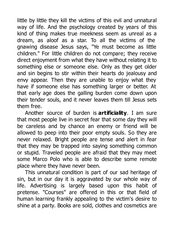little by little they kill the victims of this evil and unnatural way of life. And the psychology created by years of this kind of thing makes true meekness seem as unreal as a dream, as aloof as a star. To all the victims of the gnawing disease Jesus says, "Ye must become as little children." For little children do not compare; they receive direct enjoyment from what they have without relating it to something else or someone else. Only as they get older and sin begins to stir within their hearts do jealousy and envy appear. Then they are unable to enjoy what they have if someone else has something larger or better. At that early age does the galling burden come down upon their tender souls, and it never leaves them till Jesus sets them free.

Another source of burden is **artificiality**. I am sure that most people live in secret fear that some day they will be careless and by chance an enemy or friend will be allowed to peep into their poor empty souls. So they are never relaxed. Bright people are tense and alert in fear that they may be trapped into saying something common or stupid. Traveled people are afraid that they may meet some Marco Polo who is able to describe some remote place where they have never been.

This unnatural condition is part of our sad heritage of sin, but in our day it is aggravated by our whole way of life. Advertising is largely based upon this habit of pretense. "Courses" are offered in this or that field of human learning frankly appealing to the victim's desire to shine at a party. Books are sold, clothes and cosmetics are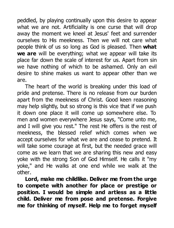peddled, by playing continually upon this desire to appear what we are not. Artificiality is one curse that will drop away the moment we kneel at Jesus' feet and surrender ourselves to His meekness. Then we will not care what people think of us so long as God is pleased. Then **what we are** will be everything; what we appear will take its place far down the scale of interest for us. Apart from sin we have nothing of which to be ashamed. Only an evil desire to shine makes us want to appear other than we are.

The heart of the world is breaking under this load of pride and pretense. There is no release from our burden apart from the meekness of Christ. Good keen reasoning may help slightly, but so strong is this vice that if we push it down one place it will come up somewhere else. To men and women everywhere Jesus says, "Come unto me, and I will give you rest." The rest He offers is the rest of meekness, the blessed relief which comes when we accept ourselves for what we are and cease to pretend. It will take some courage at first, but the needed grace will come as we learn that we are sharing this new and easy yoke with the strong Son of God Himself. He calls it "my yoke," and He walks at one end while we walk at the other.

**Lord, make me childlike. Deliver me from the urge to compete with another for place or prestige or position. I would be simple and artless as a little child. Deliver me from pose and pretense. Forgive me for thinking of myself. Help me to forget myself**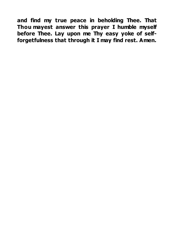**and find my true peace in beholding Thee. That Thou mayest answer this prayer I humble myself before Thee. Lay upon me Thy easy yoke of selfforgetfulness that through it I may find rest. Amen.**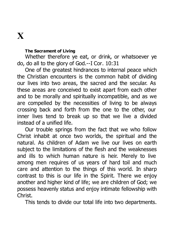### **X**

#### **The Sacrament of Living**

Whether therefore ye eat, or drink, or whatsoever ye do, do all to the glory of God.--I Cor. 10:31

One of the greatest hindrances to internal peace which the Christian encounters is the common habit of dividing our lives into two areas, the sacred and the secular. As these areas are conceived to exist apart from each other and to be morally and spiritually incompatible, and as we are compelled by the necessities of living to be always crossing back and forth from the one to the other, our inner lives tend to break up so that we live a divided instead of a unified life.

Our trouble springs from the fact that we who follow Christ inhabit at once two worlds, the spiritual and the natural. As children of Adam we live our lives on earth subject to the limitations of the flesh and the weaknesses and ills to which human nature is heir. Merely to live among men requires of us years of hard toil and much care and attention to the things of this world. In sharp contrast to this is our life in the Spirit. There we enjoy another and higher kind of life; we are children of God; we possess heavenly status and enjoy intimate fellowship with Christ.

This tends to divide our total life into two departments.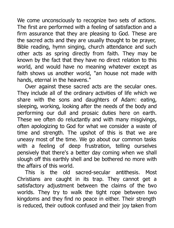We come unconsciously to recognize two sets of actions. The first are performed with a feeling of satisfaction and a firm assurance that they are pleasing to God. These are the sacred acts and they are usually thought to be prayer, Bible reading, hymn singing, church attendance and such other acts as spring directly from faith. They may be known by the fact that they have no direct relation to this world, and would have no meaning whatever except as faith shows us another world, "an house not made with hands, eternal in the heavens."

Over against these sacred acts are the secular ones. They include all of the ordinary activities of life which we share with the sons and daughters of Adam: eating, sleeping, working, looking after the needs of the body and performing our dull and prosaic duties here on earth. These we often do reluctantly and with many misgivings, often apologizing to God for what we consider a waste of time and strength. The upshot of this is that we are uneasy most of the time. We go about our common tasks with a feeling of deep frustration, telling ourselves pensively that there's a better day coming when we shall slough off this earthly shell and be bothered no more with the affairs of this world.

This is the old sacred-secular antithesis. Most Christians are caught in its trap. They cannot get a satisfactory adjustment between the claims of the two worlds. They try to walk the tight rope between two kingdoms and they find no peace in either. Their strength is reduced, their outlook confused and their joy taken from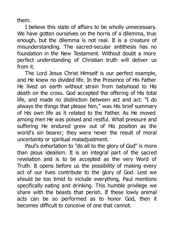them.

I believe this state of affairs to be wholly unnecessary. We have gotten ourselves on the horns of a dilemma, true enough, but the dilemma is not real. It is a creature of misunderstanding. The sacred-secular antithesis has no foundation in the New Testament. Without doubt a more perfect understanding of Christian truth will deliver us from it.

The Lord Jesus Christ Himself is our perfect example, and He knew no divided life. In the Presence of His Father He lived on earth without strain from babyhood to His death on the cross. God accepted the offering of His total life, and made no distinction between act and act. "I do always the things that please him," was His brief summary of His own life as it related to the Father. As He moved among men He was poised and restful. What pressure and suffering He endured grew out of His position as the world's sin bearer; they were never the result of moral uncertainty or spiritual maladjustment.

Paul's exhortation to "do all to the glory of God" is more than pious idealism. It is an integral part of the sacred revelation and is to be accepted as the very Word of Truth. It opens before us the possibility of making every act of our lives contribute to the glory of God. Lest we should be too timid to include everything, Paul mentions specifically eating and drinking. This humble privilege we share with the beasts that perish. If these lowly animal acts can be so performed as to honor God, then it becomes difficult to conceive of one that cannot.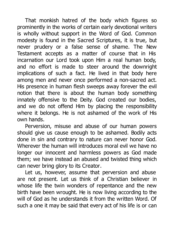That monkish hatred of the body which figures so prominently in the works of certain early devotional writers is wholly without support in the Word of God. Common modesty is found in the Sacred Scriptures, it is true, but never prudery or a false sense of shame. The New Testament accepts as a matter of course that in His incarnation our Lord took upon Him a real human body, and no effort is made to steer around the downright implications of such a fact. He lived in that body here among men and never once performed a non-sacred act. His presence in human flesh sweeps away forever the evil notion that there is about the human body something innately offensive to the Deity. God created our bodies, and we do not offend Him by placing the responsibility where it belongs. He is not ashamed of the work of His own hands.

Perversion, misuse and abuse of our human powers should give us cause enough to be ashamed. Bodily acts done in sin and contrary to nature can never honor God. Wherever the human will introduces moral evil we have no longer our innocent and harmless powers as God made them; we have instead an abused and twisted thing which can never bring glory to its Creator.

Let us, however, assume that perversion and abuse are not present. Let us think of a Christian believer in whose life the twin wonders of repentance and the new birth have been wrought. He is now living according to the will of God as he understands it from the written Word. Of such a one it may be said that every act of his life is or can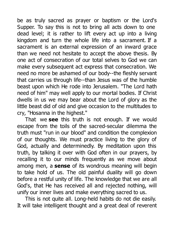be as truly sacred as prayer or baptism or the Lord's Supper. To say this is not to bring all acts down to one dead level; it is rather to lift every act up into a living kingdom and turn the whole life into a sacrament. If a sacrament is an external expression of an inward grace than we need not hesitate to accept the above thesis. By one act of consecration of our total selves to God we can make every subsequent act express that consecration. We need no more be ashamed of our body--the fleshly servant that carries us through life--than Jesus was of the humble beast upon which He rode into Jerusalem. "The Lord hath need of him" may well apply to our mortal bodies. If Christ dwells in us we may bear about the Lord of glory as the little beast did of old and give occasion to the multitudes to cry, "Hosanna in the highest."

That we **see** this truth is not enough. If we would escape from the toils of the sacred-secular dilemma the truth must "run in our blood" and condition the complexion of our thoughts. We must practice living to the glory of God, actually and determinedly. By meditation upon this truth, by talking it over with God often in our prayers, by recalling it to our minds frequently as we move about among men, a **sense** of its wondrous meaning will begin to take hold of us. The old painful duality will go down before a restful unity of life. The knowledge that we are all God's, that He has received all and rejected nothing, will unify our inner lives and make everything sacred to us.

This is not quite all. Long-held habits do not die easily. It will take intelligent thought and a great deal of reverent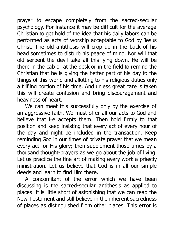prayer to escape completely from the sacred-secular psychology. For instance it may be difficult for the average Christian to get hold of the idea that his daily labors can be performed as acts of worship acceptable to God by Jesus Christ. The old antithesis will crop up in the back of his head sometimes to disturb his peace of mind. Nor will that old serpent the devil take all this lying down. He will be there in the cab or at the desk or in the field to remind the Christian that he is giving the better part of his day to the things of this world and allotting to his religious duties only a trifling portion of his time. And unless great care is taken this will create confusion and bring discouragement and heaviness of heart.

We can meet this successfully only by the exercise of an aggressive faith. We must offer all our acts to God and believe that He accepts them. Then hold firmly to that position and keep insisting that every act of every hour of the day and night be included in the transaction. Keep reminding God in our times of private prayer that we mean every act for His glory; then supplement those times by a thousand thought-prayers as we go about the job of living. Let us practice the fine art of making every work a priestly ministration. Let us believe that God is in all our simple deeds and learn to find Him there.

A concomitant of the error which we have been discussing is the sacred-secular antithesis as applied to places. It is little short of astonishing that we can read the New Testament and still believe in the inherent sacredness of places as distinguished from other places. This error is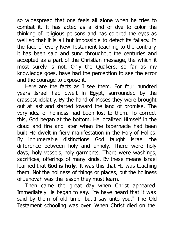so widespread that one feels all alone when he tries to combat it. It has acted as a kind of dye to color the thinking of religious persons and has colored the eyes as well so that it is all but impossible to detect its fallacy. In the face of every New Testament teaching to the contrary it has been said and sung throughout the centuries and accepted as a part of the Christian message, the which it most surely is not. Only the Quakers, so far as my knowledge goes, have had the perception to see the error and the courage to expose it.

Here are the facts as I see them. For four hundred years Israel had dwelt in Egypt, surrounded by the crassest idolatry. By the hand of Moses they were brought out at last and started toward the land of promise. The very idea of holiness had been lost to them. To correct this, God began at the bottom. He localized Himself in the cloud and fire and later when the tabernacle had been built He dwelt in fiery manifestation in the Holy of Holies. By innumerable distinctions God taught Israel the difference between holy and unholy. There were holy days, holy vessels, holy garments. There were washings, sacrifices, offerings of many kinds. By these means Israel learned that **God is holy**. It was this that He was teaching them. Not the holiness of things or places, but the holiness of Jehovah was the lesson they must learn.

Then came the great day when Christ appeared. Immediately He began to say, "Ye have heard that it was said by them of old time--but **I** say unto you." The Old Testament schooling was over. When Christ died on the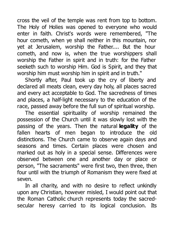cross the veil of the temple was rent from top to bottom. The Holy of Holies was opened to everyone who would enter in faith. Christ's words were remembered, "The hour cometh, when ye shall neither in this mountain, nor yet at Jerusalem, worship the Father.... But the hour cometh, and now is, when the true worshippers shall worship the Father in spirit and in truth: for the Father seeketh such to worship Him. God is Spirit, and they that worship him must worship him in spirit and in truth."

Shortly after, Paul took up the cry of liberty and declared all meats clean, every day holy, all places sacred and every act acceptable to God. The sacredness of times and places, a half-light necessary to the education of the race, passed away before the full sun of spiritual worship.

The essential spirituality of worship remained the possession of the Church until it was slowly lost with the passing of the years. Then the natural **legality** of the fallen hearts of men began to introduce the old distinctions. The Church came to observe again days and seasons and times. Certain places were chosen and marked out as holy in a special sense. Differences were observed between one and another day or place or person, "The sacraments" were first two, then three, then four until with the triumph of Romanism they were fixed at seven.

In all charity, and with no desire to reflect unkindly upon any Christian, however misled, I would point out that the Roman Catholic church represents today the sacredsecular heresy carried to its logical conclusion. Its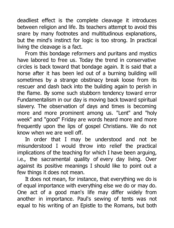deadliest effect is the complete cleavage it introduces between religion and life. Its teachers attempt to avoid this snare by many footnotes and multitudinous explanations, but the mind's instinct for logic is too strong. In practical living the cleavage is a fact.

From this bondage reformers and puritans and mystics have labored to free us. Today the trend in conservative circles is back toward that bondage again. It is said that a horse after it has been led out of a burning building will sometimes by a strange obstinacy break loose from its rescuer and dash back into the building again to perish in the flame. By some such stubborn tendency toward error Fundamentalism in our day is moving back toward spiritual slavery. The observation of days and times is becoming more and more prominent among us. "Lent" and "holy week" and "good" Friday are words heard more and more frequently upon the lips of gospel Christians. We do not know when we are well off.

In order that I may be understood and not be misunderstood I would throw into relief the practical implications of the teaching for which I have been arguing, i.e., the sacramental quality of every day living. Over against its positive meanings I should like to point out a few things it does not mean.

It does not mean, for instance, that everything we do is of equal importance with everything else we do or may do. One act of a good man's life may differ widely from another in importance. Paul's sewing of tents was not equal to his writing of an Epistle to the Romans, but both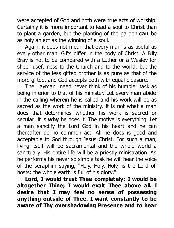were accepted of God and both were true acts of worship. Certainly it is more important to lead a soul to Christ than to plant a garden, but the planting of the garden **can** be as holy an act as the winning of a soul.

Again, it does not mean that every man is as useful as every other man. Gifts differ in the body of Christ. A Billy Bray is not to be compared with a Luther or a Wesley for sheer usefulness to the Church and to the world; but the service of the less gifted brother is as pure as that of the more gifted, and God accepts both with equal pleasure.

The "layman" need never think of his humbler task as being inferior to that of his minister. Let every man abide in the calling wherein he is called and his work will be as sacred as the work of the ministry. It is not what a man does that determines whether his work is sacred or secular, it is **why** he does it. The motive is everything. Let a man sanctify the Lord God in his heart and he can thereafter do no common act. All he does is good and acceptable to God through Jesus Christ. For such a man, living itself will be sacramental and the whole world a sanctuary. His entire life will be a priestly ministration. As he performs his never so simple task he will hear the voice of the seraphim saying, "Holy, Holy, Holy, is the Lord of hosts: the whole earth is full of his glory."

**Lord, I would trust Thee completely; I would be altogether Thine; I would exalt Thee above all. I desire that I may feel no sense of possessing anything outside of Thee. I want constantly to be aware of Thy overshadowing Presence and to hear**